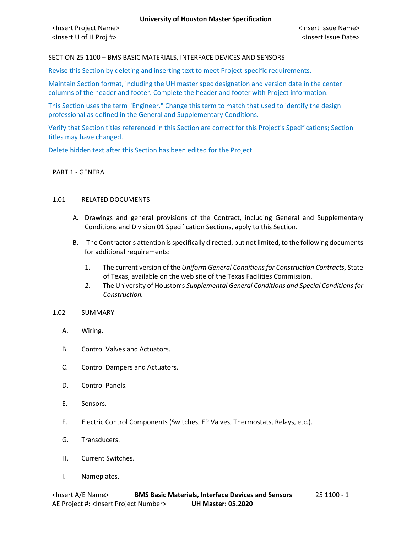## SECTION 25 1100 – BMS BASIC MATERIALS, INTERFACE DEVICES AND SENSORS

Revise this Section by deleting and inserting text to meet Project-specific requirements.

Maintain Section format, including the UH master spec designation and version date in the center columns of the header and footer. Complete the header and footer with Project information.

This Section uses the term "Engineer." Change this term to match that used to identify the design professional as defined in the General and Supplementary Conditions.

Verify that Section titles referenced in this Section are correct for this Project's Specifications; Section titles may have changed.

Delete hidden text after this Section has been edited for the Project.

#### PART 1 - GENERAL

## 1.01 RELATED DOCUMENTS

- A. Drawings and general provisions of the Contract, including General and Supplementary Conditions and Division 01 Specification Sections, apply to this Section.
- B. The Contractor's attention is specifically directed, but not limited, to the following documents for additional requirements:
	- 1. The current version of the *Uniform General Conditions for Construction Contracts*, State of Texas, available on the web site of the Texas Facilities Commission.
	- *2.* The University of Houston's *Supplemental General Conditions and Special Conditions for Construction.*

#### 1.02 SUMMARY

- A. Wiring.
- B. Control Valves and Actuators.
- C. Control Dampers and Actuators.
- D. Control Panels.
- E. Sensors.
- F. Electric Control Components (Switches, EP Valves, Thermostats, Relays, etc.).
- G. Transducers.
- H. Current Switches.
- I. Nameplates.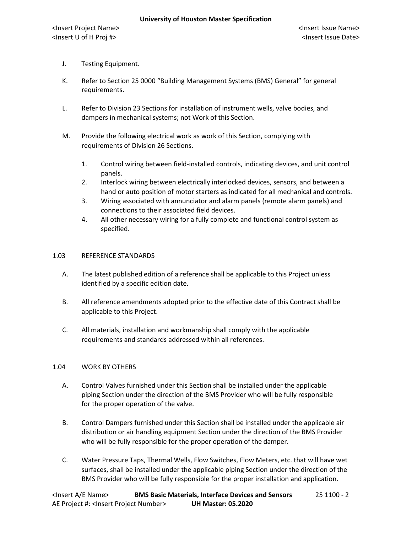- J. Testing Equipment.
- K. Refer to Section 25 0000 "Building Management Systems (BMS) General" for general requirements.
- L. Refer to Division 23 Sections for installation of instrument wells, valve bodies, and dampers in mechanical systems; not Work of this Section.
- M. Provide the following electrical work as work of this Section, complying with requirements of Division 26 Sections.
	- 1. Control wiring between field-installed controls, indicating devices, and unit control panels.
	- 2. Interlock wiring between electrically interlocked devices, sensors, and between a hand or auto position of motor starters as indicated for all mechanical and controls.
	- 3. Wiring associated with annunciator and alarm panels (remote alarm panels) and connections to their associated field devices.
	- 4. All other necessary wiring for a fully complete and functional control system as specified.

### 1.03 REFERENCE STANDARDS

- A. The latest published edition of a reference shall be applicable to this Project unless identified by a specific edition date.
- B. All reference amendments adopted prior to the effective date of this Contract shall be applicable to this Project.
- C. All materials, installation and workmanship shall comply with the applicable requirements and standards addressed within all references.

#### 1.04 WORK BY OTHERS

- A. Control Valves furnished under this Section shall be installed under the applicable piping Section under the direction of the BMS Provider who will be fully responsible for the proper operation of the valve.
- B. Control Dampers furnished under this Section shall be installed under the applicable air distribution or air handling equipment Section under the direction of the BMS Provider who will be fully responsible for the proper operation of the damper.
- C. Water Pressure Taps, Thermal Wells, Flow Switches, Flow Meters, etc. that will have wet surfaces, shall be installed under the applicable piping Section under the direction of the BMS Provider who will be fully responsible for the proper installation and application.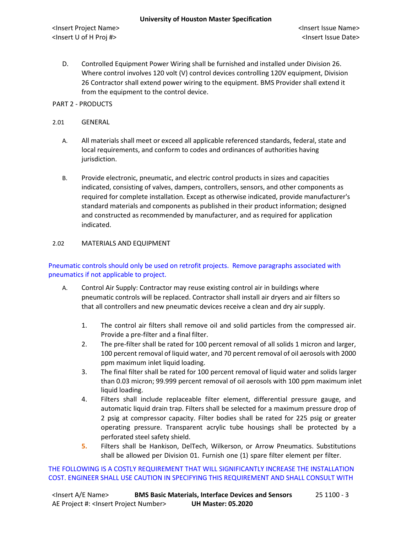D. Controlled Equipment Power Wiring shall be furnished and installed under Division 26. Where control involves 120 volt (V) control devices controlling 120V equipment, Division 26 Contractor shall extend power wiring to the equipment. BMS Provider shall extend it from the equipment to the control device.

# PART 2 - PRODUCTS

## 2.01 GENERAL

- A. All materials shall meet or exceed all applicable referenced standards, federal, state and local requirements, and conform to codes and ordinances of authorities having jurisdiction.
- B. Provide electronic, pneumatic, and electric control products in sizes and capacities indicated, consisting of valves, dampers, controllers, sensors, and other components as required for complete installation. Except as otherwise indicated, provide manufacturer's standard materials and components as published in their product information; designed and constructed as recommended by manufacturer, and as required for application indicated.

## 2.02 MATERIALS AND EQUIPMENT

# Pneumatic controls should only be used on retrofit projects. Remove paragraphs associated with pneumatics if not applicable to project.

- A. Control Air Supply: Contractor may reuse existing control air in buildings where pneumatic controls will be replaced. Contractor shall install air dryers and air filters so that all controllers and new pneumatic devices receive a clean and dry air supply.
	- 1. The control air filters shall remove oil and solid particles from the compressed air. Provide a pre-filter and a final filter.
	- 2. The pre-filter shall be rated for 100 percent removal of all solids 1 micron and larger, 100 percent removal of liquid water, and 70 percent removal of oil aerosols with 2000 ppm maximum inlet liquid loading.
	- 3. The final filter shall be rated for 100 percent removal of liquid water and solids larger than 0.03 micron; 99.999 percent removal of oil aerosols with 100 ppm maximum inlet liquid loading.
	- 4. Filters shall include replaceable filter element, differential pressure gauge, and automatic liquid drain trap. Filters shall be selected for a maximum pressure drop of 2 psig at compressor capacity. Filter bodies shall be rated for 225 psig or greater operating pressure. Transparent acrylic tube housings shall be protected by a perforated steel safety shield.
	- **5.** Filters shall be Hankison, DelTech, Wilkerson, or Arrow Pneumatics. Substitutions shall be allowed per Division 01. Furnish one (1) spare filter element per filter.

# THE FOLLOWING IS A COSTLY REQUIREMENT THAT WILL SIGNIFICANTLY INCREASE THE INSTALLATION COST. ENGINEER SHALL USE CAUTION IN SPECIFYING THIS REQUIREMENT AND SHALL CONSULT WITH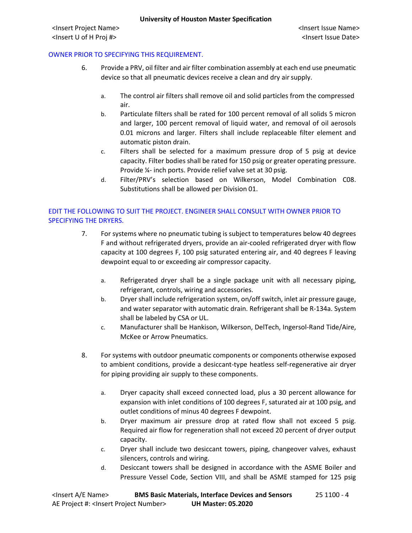## OWNER PRIOR TO SPECIFYING THIS REQUIREMENT.

- 6. Provide a PRV, oil filter and air filter combination assembly at each end use pneumatic device so that all pneumatic devices receive a clean and dry air supply.
	- a. The control air filters shall remove oil and solid particles from the compressed air.
	- b. Particulate filters shall be rated for 100 percent removal of all solids 5 micron and larger, 100 percent removal of liquid water, and removal of oil aerosols 0.01 microns and larger. Filters shall include replaceable filter element and automatic piston drain.
	- c. Filters shall be selected for a maximum pressure drop of 5 psig at device capacity. Filter bodies shall be rated for 150 psig or greater operating pressure. Provide ¼- inch ports. Provide relief valve set at 30 psig.
	- d. Filter/PRV's selection based on Wilkerson, Model Combination C08. Substitutions shall be allowed per Division 01.

# EDIT THE FOLLOWING TO SUIT THE PROJECT. ENGINEER SHALL CONSULT WITH OWNER PRIOR TO SPECIFYING THE DRYERS.

- 7. For systems where no pneumatic tubing is subject to temperatures below 40 degrees F and without refrigerated dryers, provide an air-cooled refrigerated dryer with flow capacity at 100 degrees F, 100 psig saturated entering air, and 40 degrees F leaving dewpoint equal to or exceeding air compressor capacity.
	- a. Refrigerated dryer shall be a single package unit with all necessary piping, refrigerant, controls, wiring and accessories.
	- b. Dryer shall include refrigeration system, on/off switch, inlet air pressure gauge, and water separator with automatic drain. Refrigerant shall be R-134a. System shall be labeled by CSA or UL.
	- c. Manufacturer shall be Hankison, Wilkerson, DelTech, Ingersol-Rand Tide/Aire, McKee or Arrow Pneumatics.
- 8. For systems with outdoor pneumatic components or components otherwise exposed to ambient conditions, provide a desiccant-type heatless self-regenerative air dryer for piping providing air supply to these components.
	- a. Dryer capacity shall exceed connected load, plus a 30 percent allowance for expansion with inlet conditions of 100 degrees F, saturated air at 100 psig, and outlet conditions of minus 40 degrees F dewpoint.
	- b. Dryer maximum air pressure drop at rated flow shall not exceed 5 psig. Required air flow for regeneration shall not exceed 20 percent of dryer output capacity.
	- c. Dryer shall include two desiccant towers, piping, changeover valves, exhaust silencers, controls and wiring.
	- d. Desiccant towers shall be designed in accordance with the ASME Boiler and Pressure Vessel Code, Section VIII, and shall be ASME stamped for 125 psig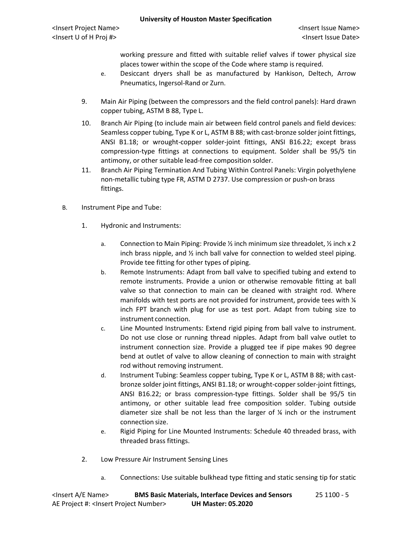working pressure and fitted with suitable relief valves if tower physical size places tower within the scope of the Code where stamp is required.

- e. Desiccant dryers shall be as manufactured by Hankison, Deltech, Arrow Pneumatics, Ingersol-Rand or Zurn.
- 9. Main Air Piping (between the compressors and the field control panels): Hard drawn copper tubing, ASTM B 88, Type L.
- 10. Branch Air Piping (to include main air between field control panels and field devices: Seamless copper tubing, Type K or L, ASTM B 88; with cast-bronze solder joint fittings, ANSI B1.18; or wrought-copper solder-joint fittings, ANSI B16.22; except brass compression-type fittings at connections to equipment. Solder shall be 95/5 tin antimony, or other suitable lead-free composition solder.
- 11. Branch Air Piping Termination And Tubing Within Control Panels: Virgin polyethylene non-metallic tubing type FR, ASTM D 2737. Use compression or push-on brass fittings.
- B. Instrument Pipe and Tube:
	- 1. Hydronic and Instruments:
		- a. Connection to Main Piping: Provide  $\frac{1}{2}$  inch minimum size threadolet,  $\frac{1}{2}$  inch x 2 inch brass nipple, and  $\frac{1}{2}$  inch ball valve for connection to welded steel piping. Provide tee fitting for other types of piping.
		- b. Remote Instruments: Adapt from ball valve to specified tubing and extend to remote instruments. Provide a union or otherwise removable fitting at ball valve so that connection to main can be cleaned with straight rod. Where manifolds with test ports are not provided for instrument, provide tees with  $\frac{1}{4}$ inch FPT branch with plug for use as test port. Adapt from tubing size to instrument connection.
		- c. Line Mounted Instruments: Extend rigid piping from ball valve to instrument. Do not use close or running thread nipples. Adapt from ball valve outlet to instrument connection size. Provide a plugged tee if pipe makes 90 degree bend at outlet of valve to allow cleaning of connection to main with straight rod without removing instrument.
		- d. Instrument Tubing: Seamless copper tubing, Type K or L, ASTM B 88; with castbronze solder joint fittings, ANSI B1.18; or wrought-copper solder-joint fittings, ANSI B16.22; or brass compression-type fittings. Solder shall be 95/5 tin antimony, or other suitable lead free composition solder. Tubing outside diameter size shall be not less than the larger of  $\frac{1}{4}$  inch or the instrument connection size.
		- e. Rigid Piping for Line Mounted Instruments: Schedule 40 threaded brass, with threaded brass fittings.
	- 2. Low Pressure Air Instrument Sensing Lines
		- a. Connections: Use suitable bulkhead type fitting and static sensing tip for static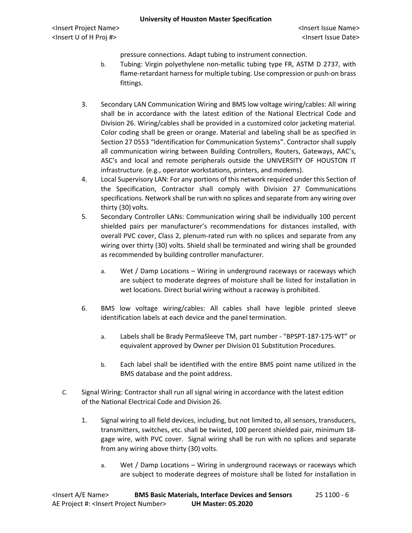pressure connections. Adapt tubing to instrument connection.

- b. Tubing: Virgin polyethylene non-metallic tubing type FR, ASTM D 2737, with flame-retardant harness for multiple tubing. Use compression or push-on brass fittings.
- 3. Secondary LAN Communication Wiring and BMS low voltage wiring/cables: All wiring shall be in accordance with the latest edition of the National Electrical Code and Division 26. Wiring/cables shall be provided in a customized color jacketing material. Color coding shall be green or orange. Material and labeling shall be as specified in Section 27 0553 "Identification for Communication Systems". Contractor shall supply all communication wiring between Building Controllers, Routers, Gateways, AAC's, ASC's and local and remote peripherals outside the UNIVERSITY OF HOUSTON IT infrastructure. (e.g., operator workstations, printers, and modems).
- 4. Local Supervisory LAN: For any portions of this network required under this Section of the Specification, Contractor shall comply with Division 27 Communications specifications. Network shall be run with no splices and separate from any wiring over thirty (30) volts.
- 5. Secondary Controller LANs: Communication wiring shall be individually 100 percent shielded pairs per manufacturer's recommendations for distances installed, with overall PVC cover, Class 2, plenum-rated run with no splices and separate from any wiring over thirty (30) volts. Shield shall be terminated and wiring shall be grounded as recommended by building controller manufacturer.
	- a. Wet / Damp Locations Wiring in underground raceways or raceways which are subject to moderate degrees of moisture shall be listed for installation in wet locations. Direct burial wiring without a raceway is prohibited.
- 6. BMS low voltage wiring/cables: All cables shall have legible printed sleeve identification labels at each device and the panel termination.
	- a. Labels shall be Brady PermaSleeve TM, part number "BPSPT-187-175-WT" or equivalent approved by Owner per Division 01 Substitution Procedures.
	- b. Each label shall be identified with the entire BMS point name utilized in the BMS database and the point address.
- C. Signal Wiring: Contractor shall run all signal wiring in accordance with the latest edition of the National Electrical Code and Division 26.
	- 1. Signal wiring to all field devices, including, but not limited to, all sensors, transducers, transmitters, switches, etc. shall be twisted, 100 percent shielded pair, minimum 18 gage wire, with PVC cover. Signal wiring shall be run with no splices and separate from any wiring above thirty (30) volts.
		- a. Wet / Damp Locations Wiring in underground raceways or raceways which are subject to moderate degrees of moisture shall be listed for installation in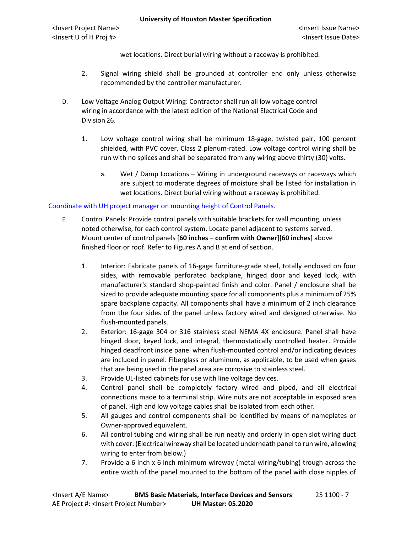wet locations. Direct burial wiring without a raceway is prohibited.

- 2. Signal wiring shield shall be grounded at controller end only unless otherwise recommended by the controller manufacturer.
- D. Low Voltage Analog Output Wiring: Contractor shall run all low voltage control wiring in accordance with the latest edition of the National Electrical Code and Division 26.
	- 1. Low voltage control wiring shall be minimum 18-gage, twisted pair, 100 percent shielded, with PVC cover, Class 2 plenum-rated. Low voltage control wiring shall be run with no splices and shall be separated from any wiring above thirty (30) volts.
		- a. Wet / Damp Locations Wiring in underground raceways or raceways which are subject to moderate degrees of moisture shall be listed for installation in wet locations. Direct burial wiring without a raceway is prohibited.

## Coordinate with UH project manager on mounting height of Control Panels.

- E. Control Panels: Provide control panels with suitable brackets for wall mounting, unless noted otherwise, for each control system. Locate panel adjacent to systems served. Mount center of control panels [**60 inches – confirm with Owner**][**60 inches**] above finished floor or roof. Refer to Figures A and B at end of section.
	- 1. Interior: Fabricate panels of 16-gage furniture-grade steel, totally enclosed on four sides, with removable perforated backplane, hinged door and keyed lock, with manufacturer's standard shop-painted finish and color. Panel / enclosure shall be sized to provide adequate mounting space for all components plus a minimum of 25% spare backplane capacity. All components shall have a minimum of 2 inch clearance from the four sides of the panel unless factory wired and designed otherwise. No flush-mounted panels.
	- 2. Exterior: 16-gage 304 or 316 stainless steel NEMA 4X enclosure. Panel shall have hinged door, keyed lock, and integral, thermostatically controlled heater. Provide hinged deadfront inside panel when flush-mounted control and/or indicating devices are included in panel. Fiberglass or aluminum, as applicable, to be used when gases that are being used in the panel area are corrosive to stainless steel.
	- 3. Provide UL-listed cabinets for use with line voltage devices.
	- 4. Control panel shall be completely factory wired and piped, and all electrical connections made to a terminal strip. Wire nuts are not acceptable in exposed area of panel. High and low voltage cables shall be isolated from each other.
	- 5. All gauges and control components shall be identified by means of nameplates or Owner-approved equivalent.
	- 6. All control tubing and wiring shall be run neatly and orderly in open slot wiring duct with cover. (Electrical wireway shall be located underneath panel to run wire, allowing wiring to enter from below.)
	- 7. Provide a 6 inch x 6 inch minimum wireway (metal wiring/tubing) trough across the entire width of the panel mounted to the bottom of the panel with close nipples of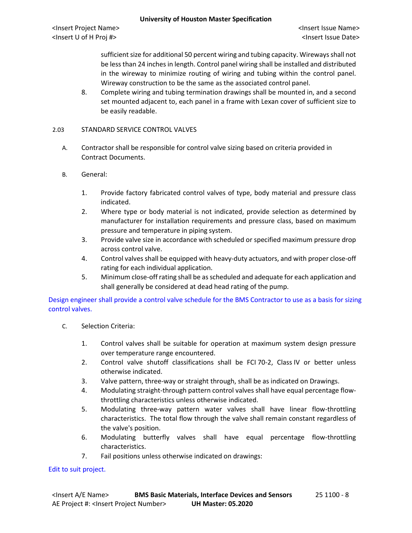<Insert Project Name> <Insert Issue Name> <Insert U of H Proj #> <Insert Issue Date>

sufficient size for additional 50 percent wiring and tubing capacity. Wireways shall not be less than 24 inches in length. Control panel wiring shall be installed and distributed in the wireway to minimize routing of wiring and tubing within the control panel. Wireway construction to be the same as the associated control panel.

8. Complete wiring and tubing termination drawings shall be mounted in, and a second set mounted adjacent to, each panel in a frame with Lexan cover of sufficient size to be easily readable.

## 2.03 STANDARD SERVICE CONTROL VALVES

- A. Contractor shall be responsible for control valve sizing based on criteria provided in Contract Documents.
- B. General:
	- 1. Provide factory fabricated control valves of type, body material and pressure class indicated.
	- 2. Where type or body material is not indicated, provide selection as determined by manufacturer for installation requirements and pressure class, based on maximum pressure and temperature in piping system.
	- 3. Provide valve size in accordance with scheduled or specified maximum pressure drop across control valve.
	- 4. Control valves shall be equipped with heavy-duty actuators, and with proper close-off rating for each individual application.
	- 5. Minimum close-off rating shall be as scheduled and adequate for each application and shall generally be considered at dead head rating of the pump.

Design engineer shall provide a control valve schedule for the BMS Contractor to use as a basis for sizing control valves.

- C. Selection Criteria:
	- 1. Control valves shall be suitable for operation at maximum system design pressure over temperature range encountered.
	- 2. Control valve shutoff classifications shall be FCI 70-2, Class IV or better unless otherwise indicated.
	- 3. Valve pattern, three-way or straight through, shall be as indicated on Drawings.
	- 4. Modulating straight-through pattern control valves shall have equal percentage flowthrottling characteristics unless otherwise indicated.
	- 5. Modulating three-way pattern water valves shall have linear flow-throttling characteristics. The total flow through the valve shall remain constant regardless of the valve's position.
	- 6. Modulating butterfly valves shall have equal percentage flow-throttling characteristics.
	- 7. Fail positions unless otherwise indicated on drawings:

## Edit to suit project.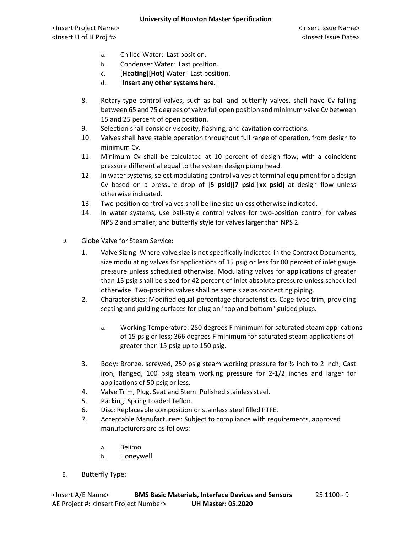- a. Chilled Water: Last position.
- b. Condenser Water: Last position.
- c. [**Heating**][**Hot**] Water: Last position.
- d. [**Insert any other systems here.**]
- 8. Rotary-type control valves, such as ball and butterfly valves, shall have Cv falling between 65 and 75 degrees of valve full open position and minimum valve Cv between 15 and 25 percent of open position.
- 9. Selection shall consider viscosity, flashing, and cavitation corrections.
- 10. Valves shall have stable operation throughout full range of operation, from design to minimum Cv.
- 11. Minimum Cv shall be calculated at 10 percent of design flow, with a coincident pressure differential equal to the system design pump head.
- 12. In water systems, select modulating control valves at terminal equipment for a design Cv based on a pressure drop of [**5 psid**][**7 psid**][**xx psid**] at design flow unless otherwise indicated.
- 13. Two-position control valves shall be line size unless otherwise indicated.
- 14. In water systems, use ball-style control valves for two-position control for valves NPS 2 and smaller; and butterfly style for valves larger than NPS 2.
- D. Globe Valve for Steam Service:
	- 1. Valve Sizing: Where valve size is not specifically indicated in the Contract Documents, size modulating valves for applications of 15 psig or less for 80 percent of inlet gauge pressure unless scheduled otherwise. Modulating valves for applications of greater than 15 psig shall be sized for 42 percent of inlet absolute pressure unless scheduled otherwise. Two-position valves shall be same size as connecting piping.
	- 2. Characteristics: Modified equal-percentage characteristics. Cage-type trim, providing seating and guiding surfaces for plug on "top and bottom" guided plugs.
		- a. Working Temperature: 250 degrees F minimum for saturated steam applications of 15 psig or less; 366 degrees F minimum for saturated steam applications of greater than 15 psig up to 150 psig.
	- 3. Body: Bronze, screwed, 250 psig steam working pressure for ½ inch to 2 inch; Cast iron, flanged, 100 psig steam working pressure for 2-1/2 inches and larger for applications of 50 psig or less.
	- 4. Valve Trim, Plug, Seat and Stem: Polished stainless steel.
	- 5. Packing: Spring Loaded Teflon.
	- 6. Disc: Replaceable composition or stainless steel filled PTFE.
	- 7. Acceptable Manufacturers: Subject to compliance with requirements, approved manufacturers are as follows:
		- a. Belimo
		- b. Honeywell
- E. Butterfly Type: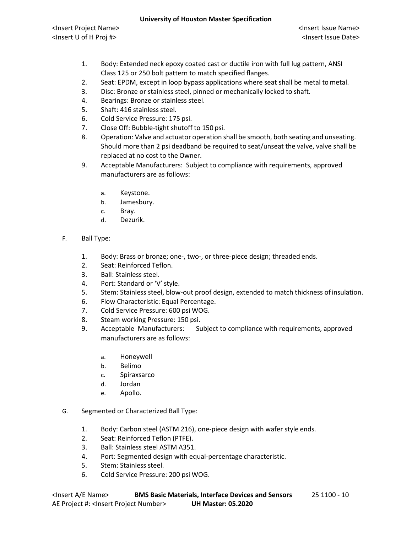- 1. Body: Extended neck epoxy coated cast or ductile iron with full lug pattern, ANSI Class 125 or 250 bolt pattern to match specified flanges.
- 2. Seat: EPDM, except in loop bypass applications where seat shall be metal to metal.
- 3. Disc: Bronze or stainless steel, pinned or mechanically locked to shaft.
- 4. Bearings: Bronze or stainless steel.
- 5. Shaft: 416 stainless steel.
- 6. Cold Service Pressure: 175 psi.
- 7. Close Off: Bubble-tight shutoff to 150 psi.
- 8. Operation: Valve and actuator operation shall be smooth, both seating and unseating. Should more than 2 psi deadband be required to seat/unseat the valve, valve shall be replaced at no cost to the Owner.
- 9. Acceptable Manufacturers: Subject to compliance with requirements, approved manufacturers are as follows:
	- a. Keystone.
	- b. Jamesbury.
	- c. Bray.
	- d. Dezurik.
- F. Ball Type:
	- 1. Body: Brass or bronze; one-, two-, or three-piece design; threaded ends.
	- 2. Seat: Reinforced Teflon.
	- 3. Ball: Stainless steel.
	- 4. Port: Standard or 'V' style.
	- 5. Stem: Stainless steel, blow-out proof design, extended to match thickness ofinsulation.
	- 6. Flow Characteristic: Equal Percentage.
	- 7. Cold Service Pressure: 600 psi WOG.
	- 8. Steam working Pressure: 150 psi.
	- 9. Acceptable Manufacturers: Subject to compliance with requirements, approved manufacturers are as follows:
		- a. Honeywell
		- b. Belimo
		- c. Spiraxsarco
		- d. Jordan
		- e. Apollo.
- G. Segmented or Characterized Ball Type:
	- 1. Body: Carbon steel (ASTM 216), one-piece design with wafer style ends.
	- 2. Seat: Reinforced Teflon (PTFE).
	- 3. Ball: Stainless steel ASTM A351.
	- 4. Port: Segmented design with equal-percentage characteristic.
	- 5. Stem: Stainless steel.
	- 6. Cold Service Pressure: 200 psi WOG.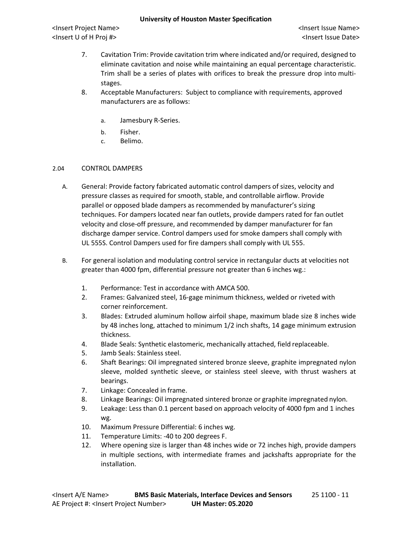<Insert Project Name> <Insert Issue Name> <Insert U of H Proj #> <Insert Issue Date>

- 7. Cavitation Trim: Provide cavitation trim where indicated and/or required, designed to eliminate cavitation and noise while maintaining an equal percentage characteristic. Trim shall be a series of plates with orifices to break the pressure drop into multistages.
- 8. Acceptable Manufacturers: Subject to compliance with requirements, approved manufacturers are as follows:
	- a. Jamesbury R-Series.
	- b. Fisher.
	- c. Belimo.

# 2.04 CONTROL DAMPERS

- A. General: Provide factory fabricated automatic control dampers of sizes, velocity and pressure classes as required for smooth, stable, and controllable airflow. Provide parallel or opposed blade dampers as recommended by manufacturer's sizing techniques. For dampers located near fan outlets, provide dampers rated for fan outlet velocity and close-off pressure, and recommended by damper manufacturer for fan discharge damper service. Control dampers used for smoke dampers shall comply with UL 555S. Control Dampers used for fire dampers shall comply with UL 555.
- B. For general isolation and modulating control service in rectangular ducts at velocities not greater than 4000 fpm, differential pressure not greater than 6 inches wg.:
	- 1. Performance: Test in accordance with AMCA 500.
	- 2. Frames: Galvanized steel, 16-gage minimum thickness, welded or riveted with corner reinforcement.
	- 3. Blades: Extruded aluminum hollow airfoil shape, maximum blade size 8 inches wide by 48 inches long, attached to minimum 1/2 inch shafts, 14 gage minimum extrusion thickness.
	- 4. Blade Seals: Synthetic elastomeric, mechanically attached, field replaceable.
	- 5. Jamb Seals: Stainless steel.
	- 6. Shaft Bearings: Oil impregnated sintered bronze sleeve, graphite impregnated nylon sleeve, molded synthetic sleeve, or stainless steel sleeve, with thrust washers at bearings.
	- 7. Linkage: Concealed in frame.
	- 8. Linkage Bearings: Oil impregnated sintered bronze or graphite impregnated nylon.
	- 9. Leakage: Less than 0.1 percent based on approach velocity of 4000 fpm and 1 inches wg.
	- 10. Maximum Pressure Differential: 6 inches wg.
	- 11. Temperature Limits: -40 to 200 degrees F.
	- 12. Where opening size is larger than 48 inches wide or 72 inches high, provide dampers in multiple sections, with intermediate frames and jackshafts appropriate for the installation.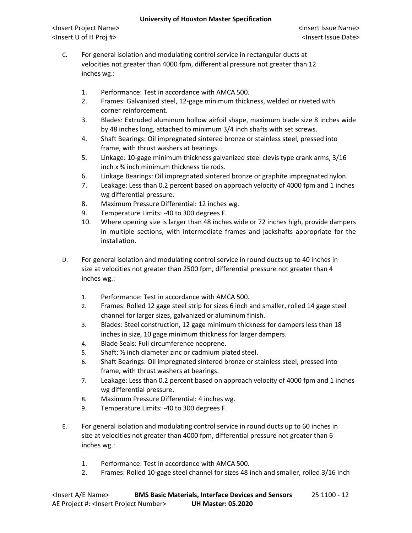- C. For general isolation and modulating control service in rectangular ducts at velocities not greater than 4000 fpm, differential pressure not greater than 12 inches wg.:
	- 1. Performance: Test in accordance with AMCA 500.
	- 2. Frames: Galvanized steel, 12-gage minimum thickness, welded or riveted with corner reinforcement.
	- 3. Blades: Extruded aluminum hollow airfoil shape, maximum blade size 8 inches wide by 48 inches long, attached to minimum 3/4 inch shafts with set screws.
	- 4. Shaft Bearings: Oil impregnated sintered bronze or stainless steel, pressed into frame, with thrust washers at bearings.
	- 5. Linkage: 10-gage minimum thickness galvanized steel clevis type crank arms, 3/16 inch x ¾ inch minimum thickness tie rods.
	- 6. Linkage Bearings: Oil impregnated sintered bronze or graphite impregnated nylon.
	- 7. Leakage: Less than 0.2 percent based on approach velocity of 4000 fpm and 1 inches wg differential pressure.
	- 8. Maximum Pressure Differential: 12 inches wg.
	- 9. Temperature Limits: -40 to 300 degrees F.
	- 10. Where opening size is larger than 48 inches wide or 72 inches high, provide dampers in multiple sections, with intermediate frames and jackshafts appropriate for the installation.
- D. For general isolation and modulating control service in round ducts up to 40 inches in size at velocities not greater than 2500 fpm, differential pressure not greater than 4 inches wg.:
	- 1. Performance: Test in accordance with AMCA 500.
	- 2. Frames: Rolled 12 gage steel strip for sizes 6 inch and smaller, rolled 14 gage steel channel for larger sizes, galvanized or aluminum finish.
	- 3. Blades: Steel construction, 12 gage minimum thickness for dampers less than 18 inches in size, 10 gage minimum thickness for larger dampers.
	- 4. Blade Seals: Full circumference neoprene.
	- 5. Shaft: ½ inch diameter zinc or cadmium plated steel.
	- 6. Shaft Bearings: Oil impregnated sintered bronze or stainless steel, pressed into frame, with thrust washers at bearings.
	- 7. Leakage: Less than 0.2 percent based on approach velocity of 4000 fpm and 1 inches wg differential pressure.
	- 8. Maximum Pressure Differential: 4 inches wg.
	- 9. Temperature Limits: -40 to 300 degrees F.
- E. For general isolation and modulating control service in round ducts up to 60 inches in size at velocities not greater than 4000 fpm, differential pressure not greater than 6 inches wg.:
	- 1. Performance: Test in accordance with AMCA 500.
	- 2. Frames: Rolled 10-gage steel channel for sizes 48 inch and smaller, rolled 3/16 inch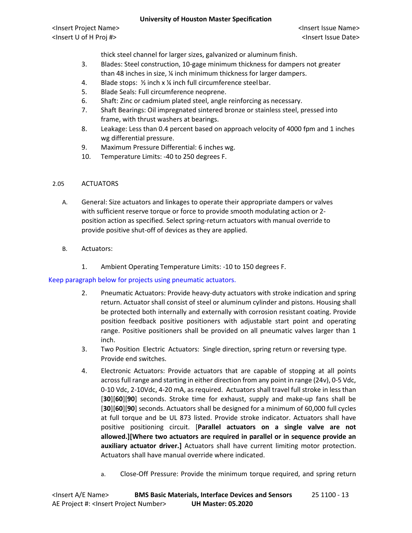<Insert Project Name> <Insert Issue Name> <Insert U of H Proj #> <Insert Issue Date>

thick steel channel for larger sizes, galvanized or aluminum finish.

- 3. Blades: Steel construction, 10-gage minimum thickness for dampers not greater than 48 inches in size, ¼ inch minimum thickness for larger dampers.
- 4. Blade stops: ½ inch x ¼ inch full circumference steel bar.
- 5. Blade Seals: Full circumference neoprene.
- 6. Shaft: Zinc or cadmium plated steel, angle reinforcing as necessary.
- 7. Shaft Bearings: Oil impregnated sintered bronze or stainless steel, pressed into frame, with thrust washers at bearings.
- 8. Leakage: Less than 0.4 percent based on approach velocity of 4000 fpm and 1 inches wg differential pressure.
- 9. Maximum Pressure Differential: 6 inches wg.
- 10. Temperature Limits: -40 to 250 degrees F.

## 2.05 ACTUATORS

- A. General: Size actuators and linkages to operate their appropriate dampers or valves with sufficient reserve torque or force to provide smooth modulating action or 2 position action as specified. Select spring-return actuators with manual override to provide positive shut-off of devices as they are applied.
- B. Actuators:
	- 1. Ambient Operating Temperature Limits: -10 to 150 degrees F.

## Keep paragraph below for projects using pneumatic actuators.

- 2. Pneumatic Actuators: Provide heavy-duty actuators with stroke indication and spring return. Actuator shall consist of steel or aluminum cylinder and pistons. Housing shall be protected both internally and externally with corrosion resistant coating. Provide position feedback positive positioners with adjustable start point and operating range. Positive positioners shall be provided on all pneumatic valves larger than 1 inch.
- 3. Two Position Electric Actuators: Single direction, spring return or reversing type. Provide end switches.
- 4. Electronic Actuators: Provide actuators that are capable of stopping at all points across full range and starting in either direction from any point in range (24v), 0-5 Vdc, 0-10 Vdc, 2-10Vdc, 4-20 mA, as required. Actuators shall travel full stroke in less than [**30**][**60**][**90**] seconds. Stroke time for exhaust, supply and make-up fans shall be [**30**][**60**][**90**] seconds. Actuators shall be designed for a minimum of 60,000 full cycles at full torque and be UL 873 listed. Provide stroke indicator. Actuators shall have positive positioning circuit. [**Parallel actuators on a single valve are not allowed.][Where two actuators are required in parallel or in sequence provide an auxiliary actuator driver.]** Actuators shall have current limiting motor protection. Actuators shall have manual override where indicated.
	- a. Close-Off Pressure: Provide the minimum torque required, and spring return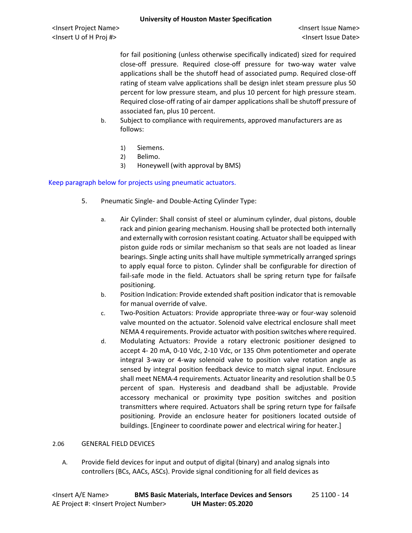<Insert Project Name> <Insert Issue Name> <Insert U of H Proj #> <Insert Issue Date>

for fail positioning (unless otherwise specifically indicated) sized for required close-off pressure. Required close-off pressure for two-way water valve applications shall be the shutoff head of associated pump. Required close-off rating of steam valve applications shall be design inlet steam pressure plus 50 percent for low pressure steam, and plus 10 percent for high pressure steam. Required close-off rating of air damper applications shall be shutoff pressure of associated fan, plus 10 percent.

- b. Subject to compliance with requirements, approved manufacturers are as follows:
	- 1) Siemens.
	- 2) Belimo.
	- 3) Honeywell (with approval by BMS)

## Keep paragraph below for projects using pneumatic actuators.

- 5. Pneumatic Single- and Double-Acting Cylinder Type:
	- a. Air Cylinder: Shall consist of steel or aluminum cylinder, dual pistons, double rack and pinion gearing mechanism. Housing shall be protected both internally and externally with corrosion resistant coating. Actuator shall be equipped with piston guide rods or similar mechanism so that seals are not loaded as linear bearings. Single acting units shall have multiple symmetrically arranged springs to apply equal force to piston. Cylinder shall be configurable for direction of fail-safe mode in the field. Actuators shall be spring return type for failsafe positioning.
	- b. Position Indication: Provide extended shaft position indicator that is removable for manual override of valve.
	- c. Two-Position Actuators: Provide appropriate three-way or four-way solenoid valve mounted on the actuator. Solenoid valve electrical enclosure shall meet NEMA 4 requirements. Provide actuator with position switches where required.
	- d. Modulating Actuators: Provide a rotary electronic positioner designed to accept 4- 20 mA, 0-10 Vdc, 2-10 Vdc, or 135 Ohm potentiometer and operate integral 3-way or 4-way solenoid valve to position valve rotation angle as sensed by integral position feedback device to match signal input. Enclosure shall meet NEMA-4 requirements. Actuator linearity and resolution shall be 0.5 percent of span. Hysteresis and deadband shall be adjustable. Provide accessory mechanical or proximity type position switches and position transmitters where required. Actuators shall be spring return type for failsafe positioning. Provide an enclosure heater for positioners located outside of buildings. [Engineer to coordinate power and electrical wiring for heater.]

#### 2.06 GENERAL FIELD DEVICES

A. Provide field devices for input and output of digital (binary) and analog signals into controllers (BCs, AACs, ASCs). Provide signal conditioning for all field devices as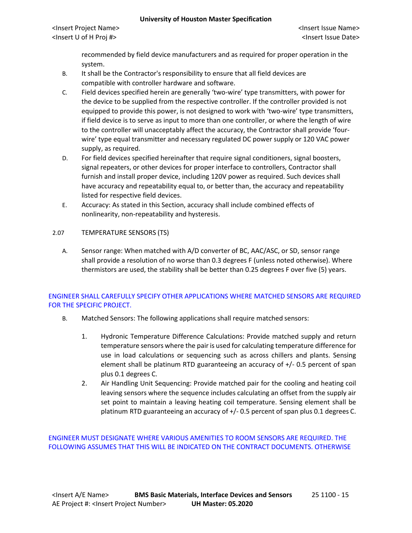<Insert Project Name> <Insert Issue Name> <Insert U of H Proj #> <Insert Issue Date>

recommended by field device manufacturers and as required for proper operation in the system.

- B. It shall be the Contractor's responsibility to ensure that all field devices are compatible with controller hardware and software.
- C. Field devices specified herein are generally 'two-wire' type transmitters, with power for the device to be supplied from the respective controller. If the controller provided is not equipped to provide this power, is not designed to work with 'two-wire' type transmitters, if field device is to serve as input to more than one controller, or where the length of wire to the controller will unacceptably affect the accuracy, the Contractor shall provide 'fourwire' type equal transmitter and necessary regulated DC power supply or 120 VAC power supply, as required.
- D. For field devices specified hereinafter that require signal conditioners, signal boosters, signal repeaters, or other devices for proper interface to controllers, Contractor shall furnish and install proper device, including 120V power as required. Such devices shall have accuracy and repeatability equal to, or better than, the accuracy and repeatability listed for respective field devices.
- E. Accuracy: As stated in this Section, accuracy shall include combined effects of nonlinearity, non-repeatability and hysteresis.

## 2.07 TEMPERATURE SENSORS (TS)

A. Sensor range: When matched with A/D converter of BC, AAC/ASC, or SD, sensor range shall provide a resolution of no worse than 0.3 degrees F (unless noted otherwise). Where thermistors are used, the stability shall be better than 0.25 degrees F over five (5) years.

# ENGINEER SHALL CAREFULLY SPECIFY OTHER APPLICATIONS WHERE MATCHED SENSORS ARE REQUIRED FOR THE SPECIFIC PROJECT.

- B. Matched Sensors: The following applications shall require matched sensors:
	- 1. Hydronic Temperature Difference Calculations: Provide matched supply and return temperature sensors where the pair is used for calculating temperature difference for use in load calculations or sequencing such as across chillers and plants. Sensing element shall be platinum RTD guaranteeing an accuracy of +/- 0.5 percent of span plus 0.1 degrees C.
	- 2. Air Handling Unit Sequencing: Provide matched pair for the cooling and heating coil leaving sensors where the sequence includes calculating an offset from the supply air set point to maintain a leaving heating coil temperature. Sensing element shall be platinum RTD guaranteeing an accuracy of +/- 0.5 percent of span plus 0.1 degrees C.

ENGINEER MUST DESIGNATE WHERE VARIOUS AMENITIES TO ROOM SENSORS ARE REQUIRED. THE FOLLOWING ASSUMES THAT THIS WILL BE INDICATED ON THE CONTRACT DOCUMENTS. OTHERWISE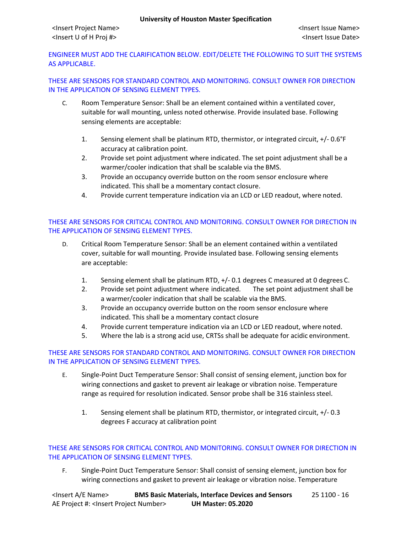# ENGINEER MUST ADD THE CLARIFICATION BELOW. EDIT/DELETE THE FOLLOWING TO SUIT THE SYSTEMS AS APPLICABLE.

# THESE ARE SENSORS FOR STANDARD CONTROL AND MONITORING. CONSULT OWNER FOR DIRECTION IN THE APPLICATION OF SENSING ELEMENT TYPES.

- C. Room Temperature Sensor: Shall be an element contained within a ventilated cover, suitable for wall mounting, unless noted otherwise. Provide insulated base. Following sensing elements are acceptable:
	- 1. Sensing element shall be platinum RTD, thermistor, or integrated circuit, +/- 0.6°F accuracy at calibration point.
	- 2. Provide set point adjustment where indicated. The set point adjustment shall be a warmer/cooler indication that shall be scalable via the BMS.
	- 3. Provide an occupancy override button on the room sensor enclosure where indicated. This shall be a momentary contact closure.
	- 4. Provide current temperature indication via an LCD or LED readout, where noted.

# THESE ARE SENSORS FOR CRITICAL CONTROL AND MONITORING. CONSULT OWNER FOR DIRECTION IN THE APPLICATION OF SENSING ELEMENT TYPES.

- D. Critical Room Temperature Sensor: Shall be an element contained within a ventilated cover, suitable for wall mounting. Provide insulated base. Following sensing elements are acceptable:
	- 1. Sensing element shall be platinum RTD, +/- 0.1 degrees C measured at 0 degrees C.
	- 2. Provide set point adjustment where indicated. The set point adjustment shall be a warmer/cooler indication that shall be scalable via the BMS.
	- 3. Provide an occupancy override button on the room sensor enclosure where indicated. This shall be a momentary contact closure
	- 4. Provide current temperature indication via an LCD or LED readout, where noted.
	- 5. Where the lab is a strong acid use, CRTSs shall be adequate for acidic environment.

# THESE ARE SENSORS FOR STANDARD CONTROL AND MONITORING. CONSULT OWNER FOR DIRECTION IN THE APPLICATION OF SENSING ELEMENT TYPES.

- E. Single-Point Duct Temperature Sensor: Shall consist of sensing element, junction box for wiring connections and gasket to prevent air leakage or vibration noise. Temperature range as required for resolution indicated. Sensor probe shall be 316 stainless steel.
	- 1. Sensing element shall be platinum RTD, thermistor, or integrated circuit, +/- 0.3 degrees F accuracy at calibration point

# THESE ARE SENSORS FOR CRITICAL CONTROL AND MONITORING. CONSULT OWNER FOR DIRECTION IN THE APPLICATION OF SENSING ELEMENT TYPES.

F. Single-Point Duct Temperature Sensor: Shall consist of sensing element, junction box for wiring connections and gasket to prevent air leakage or vibration noise. Temperature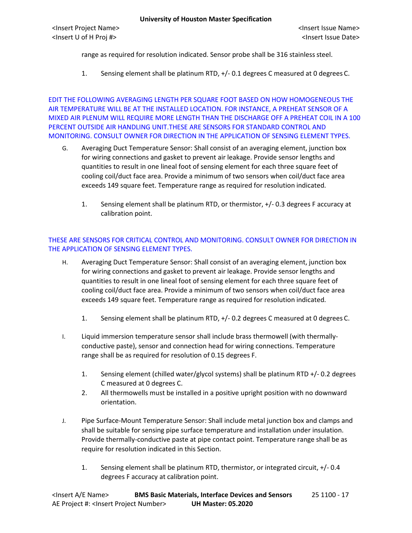range as required for resolution indicated. Sensor probe shall be 316 stainless steel.

1. Sensing element shall be platinum RTD, +/- 0.1 degrees C measured at 0 degrees C.

EDIT THE FOLLOWING AVERAGING LENGTH PER SQUARE FOOT BASED ON HOW HOMOGENEOUS THE AIR TEMPERATURE WILL BE AT THE INSTALLED LOCATION. FOR INSTANCE, A PREHEAT SENSOR OF A MIXED AIR PLENUM WILL REQUIRE MORE LENGTH THAN THE DISCHARGE OFF A PREHEAT COIL IN A 100 PERCENT OUTSIDE AIR HANDLING UNIT.THESE ARE SENSORS FOR STANDARD CONTROL AND MONITORING. CONSULT OWNER FOR DIRECTION IN THE APPLICATION OF SENSING ELEMENT TYPES.

- G. Averaging Duct Temperature Sensor: Shall consist of an averaging element, junction box for wiring connections and gasket to prevent air leakage. Provide sensor lengths and quantities to result in one lineal foot of sensing element for each three square feet of cooling coil/duct face area. Provide a minimum of two sensors when coil/duct face area exceeds 149 square feet. Temperature range as required for resolution indicated.
	- 1. Sensing element shall be platinum RTD, or thermistor, +/- 0.3 degrees F accuracy at calibration point.

# THESE ARE SENSORS FOR CRITICAL CONTROL AND MONITORING. CONSULT OWNER FOR DIRECTION IN THE APPLICATION OF SENSING ELEMENT TYPES.

- H. Averaging Duct Temperature Sensor: Shall consist of an averaging element, junction box for wiring connections and gasket to prevent air leakage. Provide sensor lengths and quantities to result in one lineal foot of sensing element for each three square feet of cooling coil/duct face area. Provide a minimum of two sensors when coil/duct face area exceeds 149 square feet. Temperature range as required for resolution indicated.
	- 1. Sensing element shall be platinum RTD, +/- 0.2 degrees C measured at 0 degrees C.
- I. Liquid immersion temperature sensor shall include brass thermowell (with thermallyconductive paste), sensor and connection head for wiring connections. Temperature range shall be as required for resolution of 0.15 degrees F.
	- 1. Sensing element (chilled water/glycol systems) shall be platinum RTD +/- 0.2 degrees C measured at 0 degrees C.
	- 2. All thermowells must be installed in a positive upright position with no downward orientation.
- J. Pipe Surface-Mount Temperature Sensor: Shall include metal junction box and clamps and shall be suitable for sensing pipe surface temperature and installation under insulation. Provide thermally-conductive paste at pipe contact point. Temperature range shall be as require for resolution indicated in this Section.
	- 1. Sensing element shall be platinum RTD, thermistor, or integrated circuit, +/- 0.4 degrees F accuracy at calibration point.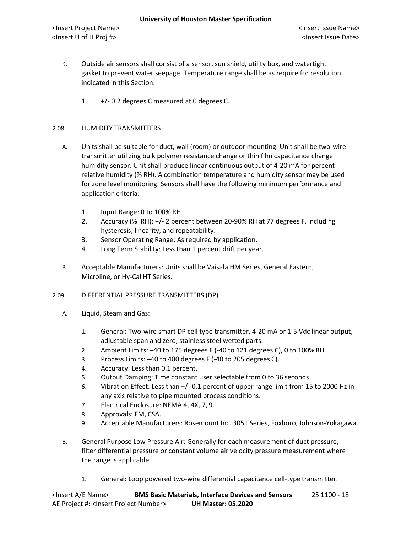- K. Outside air sensors shall consist of a sensor, sun shield, utility box, and watertight gasket to prevent water seepage. Temperature range shall be as require for resolution indicated in this Section.
	- 1. +/- 0.2 degrees C measured at 0 degrees C.

### 2.08 HUMIDITY TRANSMITTERS

- A. Units shall be suitable for duct, wall (room) or outdoor mounting. Unit shall be two-wire transmitter utilizing bulk polymer resistance change or thin film capacitance change humidity sensor. Unit shall produce linear continuous output of 4-20 mA for percent relative humidity (% RH). A combination temperature and humidity sensor may be used for zone level monitoring. Sensors shall have the following minimum performance and application criteria:
	- 1. Input Range: 0 to 100% RH.
	- 2. Accuracy (% RH): +/- 2 percent between 20-90% RH at 77 degrees F, including hysteresis, linearity, and repeatability.
	- 3. Sensor Operating Range: As required by application.
	- 4. Long Term Stability: Less than 1 percent drift per year.
- B. Acceptable Manufacturers: Units shall be Vaisala HM Series, General Eastern, Microline, or Hy-Cal HT Series.
- 2.09 DIFFERENTIAL PRESSURE TRANSMITTERS (DP)
	- A. Liquid, Steam and Gas:
		- 1. General: Two-wire smart DP cell type transmitter, 4-20 mA or 1-5 Vdc linear output, adjustable span and zero, stainless steel wetted parts.
		- 2. Ambient Limits: –40 to 175 degrees F (-40 to 121 degrees C), 0 to 100% RH.
		- 3. Process Limits: –40 to 400 degrees F (-40 to 205 degrees C).
		- 4. Accuracy: Less than 0.1 percent.
		- 5. Output Damping: Time constant user selectable from 0 to 36 seconds.
		- 6. Vibration Effect: Less than +/- 0.1 percent of upper range limit from 15 to 2000 Hz in any axis relative to pipe mounted process conditions.
		- 7. Electrical Enclosure: NEMA 4, 4X, 7, 9.
		- 8. Approvals: FM, CSA.
		- 9. Acceptable Manufacturers: Rosemount Inc. 3051 Series, Foxboro, Johnson-Yokagawa.
	- B. General Purpose Low Pressure Air: Generally for each measurement of duct pressure, filter differential pressure or constant volume air velocity pressure measurement where the range is applicable.
		- 1. General: Loop powered two-wire differential capacitance cell-type transmitter.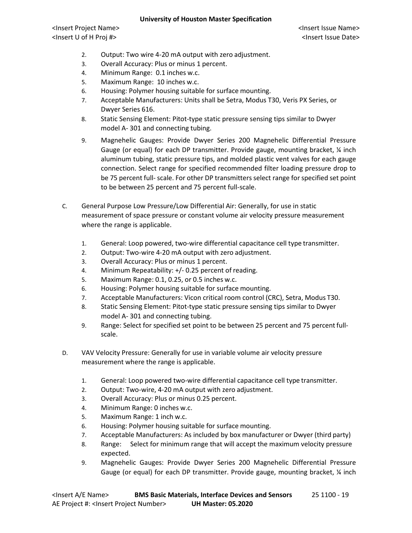- 2. Output: Two wire 4-20 mA output with zero adjustment.
- 3. Overall Accuracy: Plus or minus 1 percent.
- 4. Minimum Range: 0.1 inches w.c.
- 5. Maximum Range: 10 inches w.c.
- 6. Housing: Polymer housing suitable for surface mounting.
- 7. Acceptable Manufacturers: Units shall be Setra, Modus T30, Veris PX Series, or Dwyer Series 616.
- 8. Static Sensing Element: Pitot-type static pressure sensing tips similar to Dwyer model A- 301 and connecting tubing.
- 9. Magnehelic Gauges: Provide Dwyer Series 200 Magnehelic Differential Pressure Gauge (or equal) for each DP transmitter. Provide gauge, mounting bracket,  $\frac{1}{2}$  inch aluminum tubing, static pressure tips, and molded plastic vent valves for each gauge connection. Select range for specified recommended filter loading pressure drop to be 75 percent full- scale. For other DP transmitters select range for specified set point to be between 25 percent and 75 percent full-scale.
- C. General Purpose Low Pressure/Low Differential Air: Generally, for use in static measurement of space pressure or constant volume air velocity pressure measurement where the range is applicable.
	- 1. General: Loop powered, two-wire differential capacitance cell type transmitter.
	- 2. Output: Two-wire 4-20 mA output with zero adjustment.
	- 3. Overall Accuracy: Plus or minus 1 percent.
	- 4. Minimum Repeatability: +/- 0.25 percent of reading.
	- 5. Maximum Range: 0.1, 0.25, or 0.5 inches w.c.
	- 6. Housing: Polymer housing suitable for surface mounting.
	- 7. Acceptable Manufacturers: Vicon critical room control (CRC), Setra, Modus T30.
	- 8. Static Sensing Element: Pitot-type static pressure sensing tips similar to Dwyer model A- 301 and connecting tubing.
	- 9. Range: Select for specified set point to be between 25 percent and 75 percent fullscale.
- D. VAV Velocity Pressure: Generally for use in variable volume air velocity pressure measurement where the range is applicable.
	- 1. General: Loop powered two-wire differential capacitance cell type transmitter.
	- 2. Output: Two-wire, 4-20 mA output with zero adjustment.
	- 3. Overall Accuracy: Plus or minus 0.25 percent.
	- 4. Minimum Range: 0 inches w.c.
	- 5. Maximum Range: 1 inch w.c.
	- 6. Housing: Polymer housing suitable for surface mounting.
	- 7. Acceptable Manufacturers: As included by box manufacturer or Dwyer (third party)
	- 8. Range: Select for minimum range that will accept the maximum velocity pressure expected.
	- 9. Magnehelic Gauges: Provide Dwyer Series 200 Magnehelic Differential Pressure Gauge (or equal) for each DP transmitter. Provide gauge, mounting bracket, ¼ inch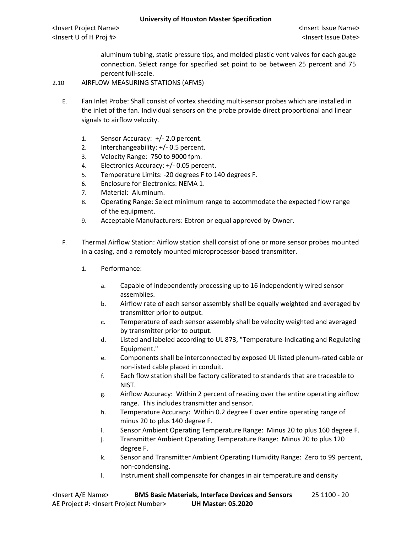<Insert Project Name> <Insert Issue Name> <Insert U of H Proj #> <Insert Issue Date>

aluminum tubing, static pressure tips, and molded plastic vent valves for each gauge connection. Select range for specified set point to be between 25 percent and 75 percent full-scale.

- 2.10 AIRFLOW MEASURING STATIONS (AFMS)
	- E. Fan Inlet Probe: Shall consist of vortex shedding multi-sensor probes which are installed in the inlet of the fan. Individual sensors on the probe provide direct proportional and linear signals to airflow velocity.
		- 1. Sensor Accuracy: +/- 2.0 percent.
		- 2. Interchangeability: +/- 0.5 percent.
		- 3. Velocity Range: 750 to 9000 fpm.
		- 4. Electronics Accuracy: +/- 0.05 percent.
		- 5. Temperature Limits: -20 degrees F to 140 degrees F.
		- 6. Enclosure for Electronics: NEMA 1.
		- 7. Material: Aluminum.
		- 8. Operating Range: Select minimum range to accommodate the expected flow range of the equipment.
		- 9. Acceptable Manufacturers: Ebtron or equal approved by Owner.
	- F. Thermal Airflow Station: Airflow station shall consist of one or more sensor probes mounted in a casing, and a remotely mounted microprocessor-based transmitter.
		- 1. Performance:
			- a. Capable of independently processing up to 16 independently wired sensor assemblies.
			- b. Airflow rate of each sensor assembly shall be equally weighted and averaged by transmitter prior to output.
			- c. Temperature of each sensor assembly shall be velocity weighted and averaged by transmitter prior to output.
			- d. Listed and labeled according to UL 873, "Temperature-Indicating and Regulating Equipment."
			- e. Components shall be interconnected by exposed UL listed plenum-rated cable or non-listed cable placed in conduit.
			- f. Each flow station shall be factory calibrated to standards that are traceable to NIST.
			- g. Airflow Accuracy: Within 2 percent of reading over the entire operating airflow range. This includes transmitter and sensor.
			- h. Temperature Accuracy: Within 0.2 degree F over entire operating range of minus 20 to plus 140 degree F.
			- i. Sensor Ambient Operating Temperature Range: Minus 20 to plus 160 degree F.
			- j. Transmitter Ambient Operating Temperature Range: Minus 20 to plus 120 degree F.
			- k. Sensor and Transmitter Ambient Operating Humidity Range: Zero to 99 percent, non-condensing.
			- l. Instrument shall compensate for changes in air temperature and density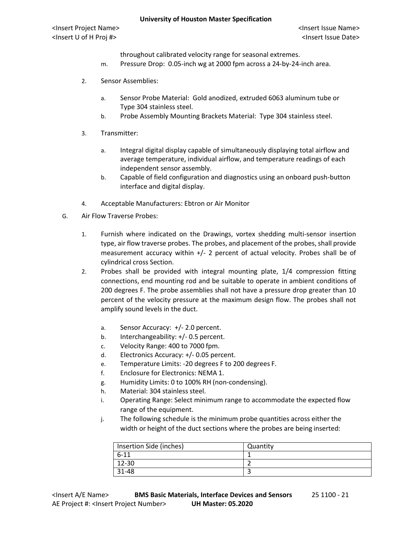throughout calibrated velocity range for seasonal extremes.

- m. Pressure Drop: 0.05-inch wg at 2000 fpm across a 24-by-24-inch area.
- 2. Sensor Assemblies:
	- a. Sensor Probe Material: Gold anodized, extruded 6063 aluminum tube or Type 304 stainless steel.
	- b. Probe Assembly Mounting Brackets Material: Type 304 stainless steel.
- 3. Transmitter:
	- a. Integral digital display capable of simultaneously displaying total airflow and average temperature, individual airflow, and temperature readings of each independent sensor assembly.
	- b. Capable of field configuration and diagnostics using an onboard push-button interface and digital display.
- 4. Acceptable Manufacturers: Ebtron or Air Monitor
- G. Air Flow Traverse Probes:
	- 1. Furnish where indicated on the Drawings, vortex shedding multi-sensor insertion type, air flow traverse probes. The probes, and placement of the probes, shall provide measurement accuracy within +/- 2 percent of actual velocity. Probes shall be of cylindrical cross Section.
	- 2. Probes shall be provided with integral mounting plate, 1/4 compression fitting connections, end mounting rod and be suitable to operate in ambient conditions of 200 degrees F. The probe assemblies shall not have a pressure drop greater than 10 percent of the velocity pressure at the maximum design flow. The probes shall not amplify sound levels in the duct.
		- a. Sensor Accuracy: +/- 2.0 percent.
		- b. Interchangeability: +/- 0.5 percent.
		- c. Velocity Range: 400 to 7000 fpm.
		- d. Electronics Accuracy: +/- 0.05 percent.
		- e. Temperature Limits: -20 degrees F to 200 degrees F.
		- f. Enclosure for Electronics: NEMA 1.
		- g. Humidity Limits: 0 to 100% RH (non-condensing).
		- h. Material: 304 stainless steel.
		- i. Operating Range: Select minimum range to accommodate the expected flow range of the equipment.
		- j. The following schedule is the minimum probe quantities across either the width or height of the duct sections where the probes are being inserted:

| Insertion Side (inches) | Quantity |
|-------------------------|----------|
| $6 - 11$                |          |
| 12-30                   |          |
| 31-48                   |          |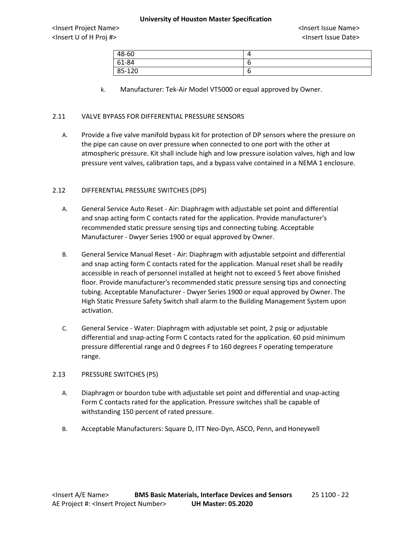<Insert Project Name> <Insert Issue Name> <Insert U of H Proj #> <Insert Issue Date>

| 48-60  | ൧ |
|--------|---|
| 61-84  | u |
| 85-120 | o |

k. Manufacturer: Tek-Air Model VT5000 or equal approved by Owner.

## 2.11 VALVE BYPASS FOR DIFFERENTIAL PRESSURE SENSORS

A. Provide a five valve manifold bypass kit for protection of DP sensors where the pressure on the pipe can cause on over pressure when connected to one port with the other at atmospheric pressure. Kit shall include high and low pressure isolation valves, high and low pressure vent valves, calibration taps, and a bypass valve contained in a NEMA 1 enclosure.

### 2.12 DIFFERENTIAL PRESSURE SWITCHES (DPS)

- A. General Service Auto Reset Air: Diaphragm with adjustable set point and differential and snap acting form C contacts rated for the application. Provide manufacturer's recommended static pressure sensing tips and connecting tubing. Acceptable Manufacturer - Dwyer Series 1900 or equal approved by Owner.
- B. General Service Manual Reset Air: Diaphragm with adjustable setpoint and differential and snap acting form C contacts rated for the application. Manual reset shall be readily accessible in reach of personnel installed at height not to exceed 5 feet above finished floor. Provide manufacturer's recommended static pressure sensing tips and connecting tubing. Acceptable Manufacturer - Dwyer Series 1900 or equal approved by Owner. The High Static Pressure Safety Switch shall alarm to the Building Management System upon activation.
- C. General Service Water: Diaphragm with adjustable set point, 2 psig or adjustable differential and snap-acting Form C contacts rated for the application. 60 psid minimum pressure differential range and 0 degrees F to 160 degrees F operating temperature range.

#### 2.13 PRESSURE SWITCHES (PS)

- A. Diaphragm or bourdon tube with adjustable set point and differential and snap-acting Form C contacts rated for the application. Pressure switches shall be capable of withstanding 150 percent of rated pressure.
- B. Acceptable Manufacturers: Square D, ITT Neo-Dyn, ASCO, Penn, and Honeywell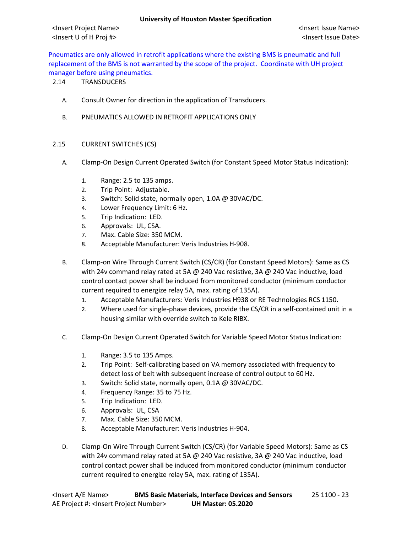Pneumatics are only allowed in retrofit applications where the existing BMS is pneumatic and full replacement of the BMS is not warranted by the scope of the project. Coordinate with UH project manager before using pneumatics.

## 2.14 TRANSDUCERS

- A. Consult Owner for direction in the application of Transducers.
- B. PNEUMATICS ALLOWED IN RETROFIT APPLICATIONS ONLY
- 2.15 CURRENT SWITCHES (CS)
	- A. Clamp-On Design Current Operated Switch (for Constant Speed Motor Status Indication):
		- 1. Range: 2.5 to 135 amps.
		- 2. Trip Point: Adjustable.
		- 3. Switch: Solid state, normally open, 1.0A @ 30VAC/DC.
		- 4. Lower Frequency Limit: 6 Hz.
		- 5. Trip Indication: LED.
		- 6. Approvals: UL, CSA.
		- 7. Max. Cable Size: 350 MCM.
		- 8. Acceptable Manufacturer: Veris Industries H-908.
	- B. Clamp-on Wire Through Current Switch (CS/CR) (for Constant Speed Motors): Same as CS with 24v command relay rated at 5A @ 240 Vac resistive, 3A @ 240 Vac inductive, load control contact power shall be induced from monitored conductor (minimum conductor current required to energize relay 5A, max. rating of 135A).
		- 1. Acceptable Manufacturers: Veris Industries H938 or RE Technologies RCS 1150.
		- 2. Where used for single-phase devices, provide the CS/CR in a self-contained unit in a housing similar with override switch to Kele RIBX.
	- C. Clamp-On Design Current Operated Switch for Variable Speed Motor Status Indication:
		- 1. Range: 3.5 to 135 Amps.
		- 2. Trip Point: Self-calibrating based on VA memory associated with frequency to detect loss of belt with subsequent increase of control output to 60 Hz.
		- 3. Switch: Solid state, normally open, 0.1A @ 30VAC/DC.
		- 4. Frequency Range: 35 to 75 Hz.
		- 5. Trip Indication: LED.
		- 6. Approvals: UL, CSA
		- 7. Max. Cable Size: 350 MCM.
		- 8. Acceptable Manufacturer: Veris Industries H-904.
	- D. Clamp-On Wire Through Current Switch (CS/CR) (for Variable Speed Motors): Same as CS with 24v command relay rated at 5A @ 240 Vac resistive, 3A @ 240 Vac inductive, load control contact power shall be induced from monitored conductor (minimum conductor current required to energize relay 5A, max. rating of 135A).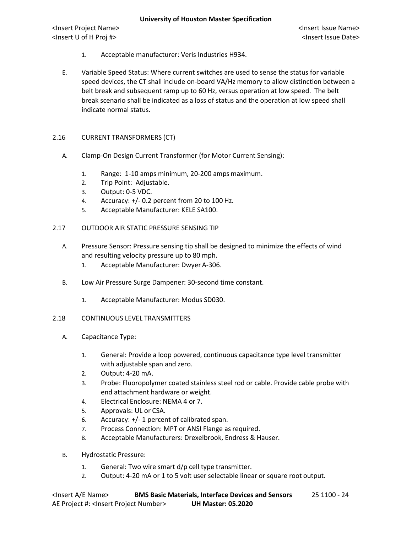- 1. Acceptable manufacturer: Veris Industries H934.
- E. Variable Speed Status: Where current switches are used to sense the status for variable speed devices, the CT shall include on-board VA/Hz memory to allow distinction between a belt break and subsequent ramp up to 60 Hz, versus operation at low speed. The belt break scenario shall be indicated as a loss of status and the operation at low speed shall indicate normal status.
- 2.16 CURRENT TRANSFORMERS (CT)
	- A. Clamp-On Design Current Transformer (for Motor Current Sensing):
		- 1. Range: 1-10 amps minimum, 20-200 amps maximum.
		- 2. Trip Point: Adjustable.
		- 3. Output: 0-5 VDC.
		- 4. Accuracy: +/- 0.2 percent from 20 to 100 Hz.
		- 5. Acceptable Manufacturer: KELE SA100.
- 2.17 OUTDOOR AIR STATIC PRESSURE SENSING TIP
	- A. Pressure Sensor: Pressure sensing tip shall be designed to minimize the effects of wind and resulting velocity pressure up to 80 mph.
		- 1. Acceptable Manufacturer: Dwyer A-306.
	- B. Low Air Pressure Surge Dampener: 30-second time constant.
		- 1. Acceptable Manufacturer: Modus SD030.
- 2.18 CONTINUOUS LEVEL TRANSMITTERS
	- A. Capacitance Type:
		- 1. General: Provide a loop powered, continuous capacitance type level transmitter with adjustable span and zero.
		- 2. Output: 4-20 mA.
		- 3. Probe: Fluoropolymer coated stainless steel rod or cable. Provide cable probe with end attachment hardware or weight.
		- 4. Electrical Enclosure: NEMA 4 or 7.
		- 5. Approvals: UL or CSA.
		- 6. Accuracy: +/- 1 percent of calibrated span.
		- 7. Process Connection: MPT or ANSI Flange as required.
		- 8. Acceptable Manufacturers: Drexelbrook, Endress & Hauser.
	- B. Hydrostatic Pressure:
		- 1. General: Two wire smart d/p cell type transmitter.
		- 2. Output: 4-20 mA or 1 to 5 volt user selectable linear or square root output.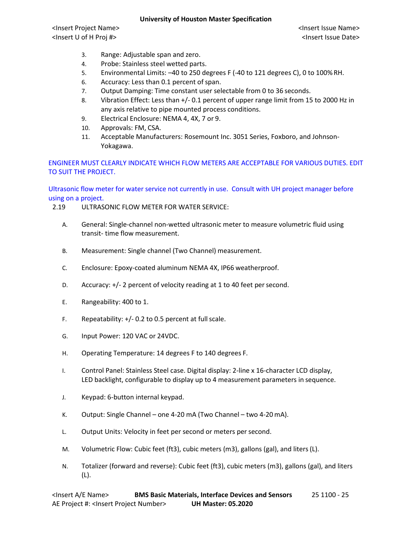<Insert Project Name> <Insert Issue Name> <Insert U of H Proj #> <Insert Issue Date>

- 3. Range: Adjustable span and zero.
- 4. Probe: Stainless steel wetted parts.
- 5. Environmental Limits: –40 to 250 degrees F (-40 to 121 degrees C), 0 to 100% RH.
- 6. Accuracy: Less than 0.1 percent of span.
- 7. Output Damping: Time constant user selectable from 0 to 36 seconds.
- 8. Vibration Effect: Less than +/- 0.1 percent of upper range limit from 15 to 2000 Hz in any axis relative to pipe mounted process conditions.
- 9. Electrical Enclosure: NEMA 4, 4X, 7 or 9.
- 10. Approvals: FM, CSA.
- 11. Acceptable Manufacturers: Rosemount Inc. 3051 Series, Foxboro, and Johnson-Yokagawa.

## ENGINEER MUST CLEARLY INDICATE WHICH FLOW METERS ARE ACCEPTABLE FOR VARIOUS DUTIES. EDIT TO SUIT THE PROJECT.

Ultrasonic flow meter for water service not currently in use. Consult with UH project manager before using on a project.

- 2.19 ULTRASONIC FLOW METER FOR WATER SERVICE:
	- A. General: Single-channel non-wetted ultrasonic meter to measure volumetric fluid using transit- time flow measurement.
	- B. Measurement: Single channel (Two Channel) measurement.
	- C. Enclosure: Epoxy-coated aluminum NEMA 4X, IP66 weatherproof.
	- D. Accuracy: +/- 2 percent of velocity reading at 1 to 40 feet per second.
	- E. Rangeability: 400 to 1.
	- F. Repeatability:  $+/-$  0.2 to 0.5 percent at full scale.
	- G. Input Power: 120 VAC or 24VDC.
	- H. Operating Temperature: 14 degrees F to 140 degrees F.
	- I. Control Panel: Stainless Steel case. Digital display: 2-line x 16-character LCD display, LED backlight, configurable to display up to 4 measurement parameters in sequence.
	- J. Keypad: 6-button internal keypad.
	- K. Output: Single Channel one 4-20 mA (Two Channel two 4-20 mA).
	- L. Output Units: Velocity in feet per second or meters per second.
	- M. Volumetric Flow: Cubic feet (ft3), cubic meters (m3), gallons (gal), and liters(L).
	- N. Totalizer (forward and reverse): Cubic feet (ft3), cubic meters (m3), gallons (gal), and liters  $(L)$ .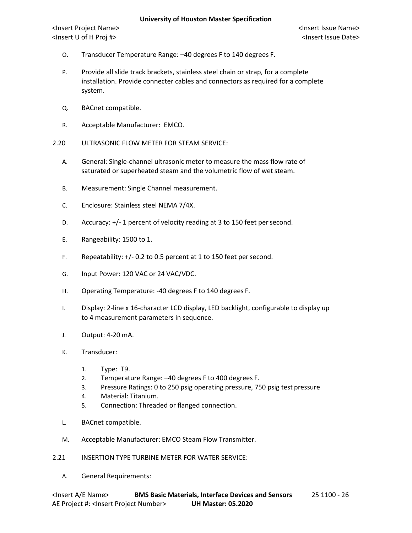- O. Transducer Temperature Range: –40 degrees F to 140 degrees F.
- P. Provide all slide track brackets, stainless steel chain or strap, for a complete installation. Provide connecter cables and connectors as required for a complete system.
- Q. BACnet compatible.
- R. Acceptable Manufacturer: EMCO.
- 2.20 ULTRASONIC FLOW METER FOR STEAM SERVICE:
	- A. General: Single-channel ultrasonic meter to measure the mass flow rate of saturated or superheated steam and the volumetric flow of wet steam.
	- B. Measurement: Single Channel measurement.
	- C. Enclosure: Stainless steel NEMA 7/4X.
	- D. Accuracy: +/- 1 percent of velocity reading at 3 to 150 feet persecond.
	- E. Rangeability: 1500 to 1.
	- F. Repeatability: +/- 0.2 to 0.5 percent at 1 to 150 feet persecond.
	- G. Input Power: 120 VAC or 24 VAC/VDC.
	- H. Operating Temperature: -40 degrees F to 140 degrees F.
	- I. Display: 2-line x 16-character LCD display, LED backlight, configurable to display up to 4 measurement parameters in sequence.
	- J. Output: 4-20 mA.
	- K. Transducer:
		- 1. Type: T9.
		- 2. Temperature Range: –40 degrees F to 400 degrees F.
		- 3. Pressure Ratings: 0 to 250 psig operating pressure, 750 psig test pressure
		- 4. Material: Titanium.
		- 5. Connection: Threaded or flanged connection.
	- L. BACnet compatible.
	- M. Acceptable Manufacturer: EMCO Steam Flow Transmitter.
- 2.21 INSERTION TYPE TURBINE METER FOR WATER SERVICE:
	- A. General Requirements: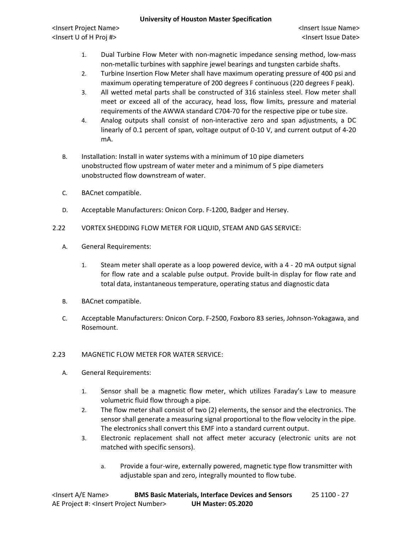<Insert Project Name> <Insert Issue Name> <Insert U of H Proj #> <Insert Issue Date>

- 1. Dual Turbine Flow Meter with non-magnetic impedance sensing method, low-mass non-metallic turbines with sapphire jewel bearings and tungsten carbide shafts.
- 2. Turbine Insertion Flow Meter shall have maximum operating pressure of 400 psi and maximum operating temperature of 200 degrees F continuous (220 degrees F peak).
- 3. All wetted metal parts shall be constructed of 316 stainless steel. Flow meter shall meet or exceed all of the accuracy, head loss, flow limits, pressure and material requirements of the AWWA standard C704-70 for the respective pipe or tube size.
- 4. Analog outputs shall consist of non-interactive zero and span adjustments, a DC linearly of 0.1 percent of span, voltage output of 0-10 V, and current output of 4-20 mA.
- B. Installation: Install in water systems with a minimum of 10 pipe diameters unobstructed flow upstream of water meter and a minimum of 5 pipe diameters unobstructed flow downstream of water.
- C. BACnet compatible.
- D. Acceptable Manufacturers: Onicon Corp. F-1200, Badger and Hersey.
- 2.22 VORTEX SHEDDING FLOW METER FOR LIQUID, STEAM AND GAS SERVICE:
	- A. General Requirements:
		- 1. Steam meter shall operate as a loop powered device, with a 4 20 mA output signal for flow rate and a scalable pulse output. Provide built-in display for flow rate and total data, instantaneous temperature, operating status and diagnostic data
	- B. BACnet compatible.
	- C. Acceptable Manufacturers: Onicon Corp. F-2500, Foxboro 83 series, Johnson-Yokagawa, and Rosemount.

## 2.23 MAGNETIC FLOW METER FOR WATER SERVICE:

- A. General Requirements:
	- 1. Sensor shall be a magnetic flow meter, which utilizes Faraday's Law to measure volumetric fluid flow through a pipe.
	- 2. The flow meter shall consist of two (2) elements, the sensor and the electronics. The sensor shall generate a measuring signal proportional to the flow velocity in the pipe. The electronics shall convert this EMF into a standard current output.
	- 3. Electronic replacement shall not affect meter accuracy (electronic units are not matched with specific sensors).
		- a. Provide a four-wire, externally powered, magnetic type flow transmitter with adjustable span and zero, integrally mounted to flow tube.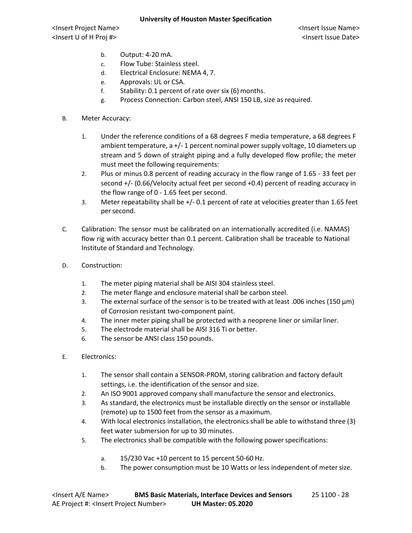- b. Output: 4-20 mA.
- c. Flow Tube: Stainless steel.
- d. Electrical Enclosure: NEMA 4, 7.
- e. Approvals: UL or CSA.
- f. Stability: 0.1 percent of rate over six (6) months.
- g. Process Connection: Carbon steel, ANSI 150 LB, size as required.
- B. Meter Accuracy:
	- 1. Under the reference conditions of a 68 degrees F media temperature, a 68 degrees F ambient temperature, a +/- 1 percent nominal power supply voltage, 10 diameters up stream and 5 down of straight piping and a fully developed flow profile; the meter must meet the following requirements:
	- 2. Plus or minus 0.8 percent of reading accuracy in the flow range of 1.65 33 feet per second +/- (0.66/Velocity actual feet per second +0.4) percent of reading accuracy in the flow range of 0 - 1.65 feet per second.
	- 3. Meter repeatability shall be +/- 0.1 percent of rate at velocities greater than 1.65 feet persecond.
- C. Calibration: The sensor must be calibrated on an internationally accredited (i.e. NAMAS) flow rig with accuracy better than 0.1 percent. Calibration shall be traceable to National Institute of Standard and Technology.
- D. Construction:
	- 1. The meter piping material shall be AISI 304 stainless steel.
	- 2. The meter flange and enclosure material shall be carbon steel.
	- 3. The external surface of the sensor is to be treated with at least .006 inches (150  $\mu$ m) of Corrosion resistant two-component paint.
	- 4. The inner meter piping shall be protected with a neoprene liner or similar liner.
	- 5. The electrode material shall be AISI 316 Ti or better.
	- 6. The sensor be ANSI class 150 pounds.
- E. Electronics:
	- 1. The sensor shall contain a SENSOR-PROM, storing calibration and factory default settings, i.e. the identification of the sensor and size.
	- 2. An ISO 9001 approved company shall manufacture the sensor and electronics.
	- 3. As standard, the electronics must be installable directly on the sensor or installable (remote) up to 1500 feet from the sensor as a maximum.
	- 4. With local electronics installation, the electronics shall be able to withstand three (3) feet water submersion for up to 30 minutes.
	- 5. The electronics shall be compatible with the following power specifications:
		- a. 15/230 Vac +10 percent to 15 percent 50-60 Hz.
		- b. The power consumption must be 10 Watts or less independent of meter size.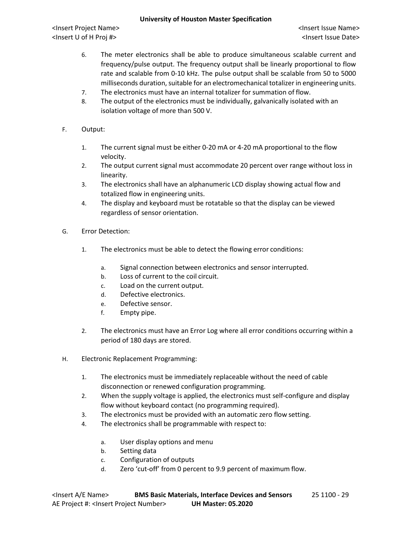- 6. The meter electronics shall be able to produce simultaneous scalable current and frequency/pulse output. The frequency output shall be linearly proportional to flow rate and scalable from 0-10 kHz. The pulse output shall be scalable from 50 to 5000 milliseconds duration, suitable for an electromechanical totalizer in engineering units.
- 7. The electronics must have an internal totalizer for summation of flow.
- 8. The output of the electronics must be individually, galvanically isolated with an isolation voltage of more than 500 V.
- F. Output:
	- 1. The current signal must be either 0-20 mA or 4-20 mA proportional to the flow velocity.
	- 2. The output current signal must accommodate 20 percent over range without loss in linearity.
	- 3. The electronics shall have an alphanumeric LCD display showing actual flow and totalized flow in engineering units.
	- 4. The display and keyboard must be rotatable so that the display can be viewed regardless of sensor orientation.
- G. Error Detection:
	- 1. The electronics must be able to detect the flowing error conditions:
		- a. Signal connection between electronics and sensor interrupted.
		- b. Loss of current to the coil circuit.
		- c. Load on the current output.
		- d. Defective electronics.
		- e. Defective sensor.
		- f. Empty pipe.
	- 2. The electronics must have an Error Log where all error conditions occurring within a period of 180 days are stored.
- H. Electronic Replacement Programming:
	- 1. The electronics must be immediately replaceable without the need of cable disconnection or renewed configuration programming.
	- 2. When the supply voltage is applied, the electronics must self-configure and display flow without keyboard contact (no programming required).
	- 3. The electronics must be provided with an automatic zero flow setting.
	- 4. The electronics shall be programmable with respect to:
		- a. User display options and menu
		- b. Setting data
		- c. Configuration of outputs
		- d. Zero 'cut-off' from 0 percent to 9.9 percent of maximum flow.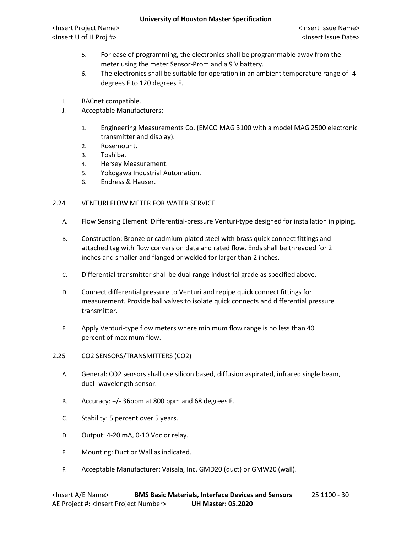<Insert Project Name> <Insert Issue Name> <Insert U of H Proj #> <Insert Issue Date>

- 5. For ease of programming, the electronics shall be programmable away from the meter using the meter Sensor-Prom and a 9 V battery.
- 6. The electronics shall be suitable for operation in an ambient temperature range of -4 degrees F to 120 degrees F.
- I. BACnet compatible.
- J. Acceptable Manufacturers:
	- 1. Engineering Measurements Co. (EMCO MAG 3100 with a model MAG 2500 electronic transmitter and display).
	- 2. Rosemount.
	- 3. Toshiba.
	- 4. Hersey Measurement.
	- 5. Yokogawa Industrial Automation.
	- 6. Endress & Hauser.

## 2.24 VENTURI FLOW METER FOR WATER SERVICE

- A. Flow Sensing Element: Differential-pressure Venturi-type designed for installation in piping.
- B. Construction: Bronze or cadmium plated steel with brass quick connect fittings and attached tag with flow conversion data and rated flow. Ends shall be threaded for 2 inches and smaller and flanged or welded for larger than 2 inches.
- C. Differential transmitter shall be dual range industrial grade as specified above.
- D. Connect differential pressure to Venturi and repipe quick connect fittings for measurement. Provide ball valves to isolate quick connects and differential pressure transmitter.
- E. Apply Venturi-type flow meters where minimum flow range is no less than 40 percent of maximum flow.
- 2.25 CO2 SENSORS/TRANSMITTERS (CO2)
	- A. General: CO2 sensors shall use silicon based, diffusion aspirated, infrared single beam, dual- wavelength sensor.
	- B. Accuracy: +/- 36ppm at 800 ppm and 68 degrees F.
	- C. Stability: 5 percent over 5 years.
	- D. Output: 4-20 mA, 0-10 Vdc or relay.
	- E. Mounting: Duct or Wall as indicated.
	- F. Acceptable Manufacturer: Vaisala, Inc. GMD20 (duct) or GMW20 (wall).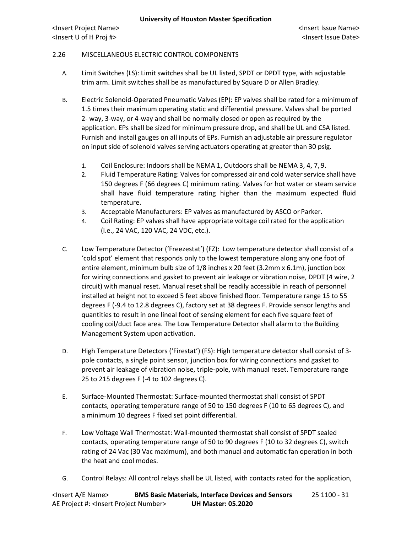## 2.26 MISCELLANEOUS ELECTRIC CONTROL COMPONENTS

- A. Limit Switches (LS): Limit switches shall be UL listed, SPDT or DPDT type, with adjustable trim arm. Limit switches shall be as manufactured by Square D or Allen Bradley.
- B. Electric Solenoid-Operated Pneumatic Valves (EP): EP valves shall be rated for a minimumof 1.5 times their maximum operating static and differential pressure. Valves shall be ported 2- way, 3-way, or 4-way and shall be normally closed or open as required by the application. EPs shall be sized for minimum pressure drop, and shall be UL and CSA listed. Furnish and install gauges on all inputs of EPs. Furnish an adjustable air pressure regulator on input side of solenoid valves serving actuators operating at greater than 30 psig.
	- 1. Coil Enclosure: Indoors shall be NEMA 1, Outdoors shall be NEMA 3, 4, 7, 9.
	- 2. Fluid Temperature Rating: Valves for compressed air and cold water service shall have 150 degrees F (66 degrees C) minimum rating. Valves for hot water or steam service shall have fluid temperature rating higher than the maximum expected fluid temperature.
	- 3. Acceptable Manufacturers: EP valves as manufactured by ASCO or Parker.
	- 4. Coil Rating: EP valves shall have appropriate voltage coil rated for the application (i.e., 24 VAC, 120 VAC, 24 VDC, etc.).
- C. Low Temperature Detector ('Freezestat') (FZ): Low temperature detector shall consist of a 'cold spot' element that responds only to the lowest temperature along any one foot of entire element, minimum bulb size of 1/8 inches x 20 feet (3.2mm x 6.1m), junction box for wiring connections and gasket to prevent air leakage or vibration noise, DPDT (4 wire, 2 circuit) with manual reset. Manual reset shall be readily accessible in reach of personnel installed at height not to exceed 5 feet above finished floor. Temperature range 15 to 55 degrees F (-9.4 to 12.8 degrees C), factory set at 38 degrees F. Provide sensor lengths and quantities to result in one lineal foot of sensing element for each five square feet of cooling coil/duct face area. The Low Temperature Detector shall alarm to the Building Management System upon activation.
- D. High Temperature Detectors ('Firestat') (FS): High temperature detector shall consist of 3 pole contacts, a single point sensor, junction box for wiring connections and gasket to prevent air leakage of vibration noise, triple-pole, with manual reset. Temperature range 25 to 215 degrees F (-4 to 102 degrees C).
- E. Surface-Mounted Thermostat: Surface-mounted thermostat shall consist of SPDT contacts, operating temperature range of 50 to 150 degrees F (10 to 65 degrees C), and a minimum 10 degrees F fixed set point differential.
- F. Low Voltage Wall Thermostat: Wall-mounted thermostat shall consist of SPDT sealed contacts, operating temperature range of 50 to 90 degrees F (10 to 32 degrees C), switch rating of 24 Vac (30 Vac maximum), and both manual and automatic fan operation in both the heat and cool modes.
- G. Control Relays: All control relays shall be UL listed, with contacts rated for the application,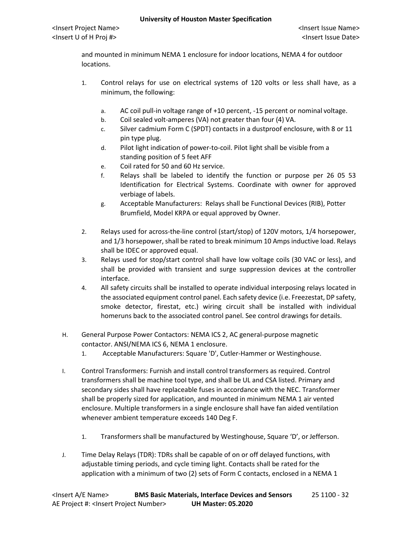and mounted in minimum NEMA 1 enclosure for indoor locations, NEMA 4 for outdoor locations.

- 1. Control relays for use on electrical systems of 120 volts or less shall have, as a minimum, the following:
	- a. AC coil pull-in voltage range of +10 percent, -15 percent or nominal voltage.
	- b. Coil sealed volt-amperes (VA) not greater than four (4) VA.
	- c. Silver cadmium Form C (SPDT) contacts in a dustproof enclosure, with 8 or 11 pin type plug.
	- d. Pilot light indication of power-to-coil. Pilot light shall be visible from a standing position of 5 feet AFF
	- e. Coil rated for 50 and 60 Hz service.
	- f. Relays shall be labeled to identify the function or purpose per 26 05 53 Identification for Electrical Systems. Coordinate with owner for approved verbiage of labels.
	- g. Acceptable Manufacturers: Relays shall be Functional Devices (RIB), Potter Brumfield, Model KRPA or equal approved by Owner.
- 2. Relays used for across-the-line control (start/stop) of 120V motors, 1/4 horsepower, and 1/3 horsepower, shall be rated to break minimum 10 Amps inductive load. Relays shall be IDEC or approved equal.
- 3. Relays used for stop/start control shall have low voltage coils (30 VAC or less), and shall be provided with transient and surge suppression devices at the controller interface.
- 4. All safety circuits shall be installed to operate individual interposing relays located in the associated equipment control panel. Each safety device (i.e. Freezestat, DP safety, smoke detector, firestat, etc.) wiring circuit shall be installed with individual homeruns back to the associated control panel. See control drawings for details.
- H. General Purpose Power Contactors: NEMA ICS 2, AC general-purpose magnetic contactor. ANSI/NEMA ICS 6, NEMA 1 enclosure.
	- 1. Acceptable Manufacturers: Square 'D', Cutler-Hammer or Westinghouse.
- I. Control Transformers: Furnish and install control transformers as required. Control transformers shall be machine tool type, and shall be UL and CSA listed. Primary and secondary sides shall have replaceable fuses in accordance with the NEC. Transformer shall be properly sized for application, and mounted in minimum NEMA 1 air vented enclosure. Multiple transformers in a single enclosure shall have fan aided ventilation whenever ambient temperature exceeds 140 Deg F.
	- 1. Transformers shall be manufactured by Westinghouse, Square 'D', or Jefferson.
- J. Time Delay Relays (TDR): TDRs shall be capable of on or off delayed functions, with adjustable timing periods, and cycle timing light. Contacts shall be rated for the application with a minimum of two (2) sets of Form C contacts, enclosed in a NEMA 1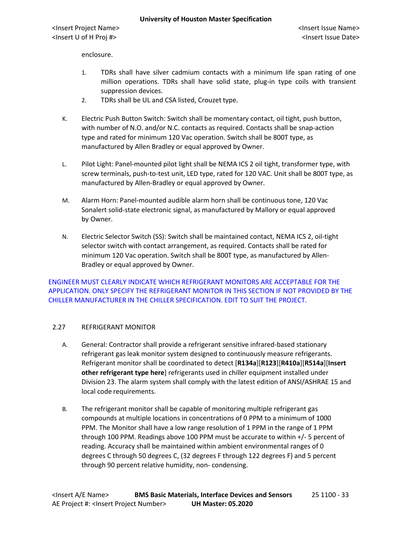enclosure.

- 1. TDRs shall have silver cadmium contacts with a minimum life span rating of one million operations. TDRs shall have solid state, plug-in type coils with transient suppression devices.
- 2. TDRs shall be UL and CSA listed, Crouzet type.
- K. Electric Push Button Switch: Switch shall be momentary contact, oil tight, push button, with number of N.O. and/or N.C. contacts as required. Contacts shall be snap-action type and rated for minimum 120 Vac operation. Switch shall be 800T type, as manufactured by Allen Bradley or equal approved by Owner.
- L. Pilot Light: Panel-mounted pilot light shall be NEMA ICS 2 oil tight, transformer type, with screw terminals, push-to-test unit, LED type, rated for 120 VAC. Unit shall be 800T type, as manufactured by Allen-Bradley or equal approved by Owner.
- M. Alarm Horn: Panel-mounted audible alarm horn shall be continuous tone, 120 Vac Sonalert solid-state electronic signal, as manufactured by Mallory or equal approved by Owner.
- N. Electric Selector Switch (SS): Switch shall be maintained contact, NEMA ICS 2, oil-tight selector switch with contact arrangement, as required. Contacts shall be rated for minimum 120 Vac operation. Switch shall be 800T type, as manufactured by Allen-Bradley or equal approved by Owner.

ENGINEER MUST CLEARLY INDICATE WHICH REFRIGERANT MONITORS ARE ACCEPTABLE FOR THE APPLICATION. ONLY SPECIFY THE REFRIGERANT MONITOR IN THIS SECTION IF NOT PROVIDED BY THE CHILLER MANUFACTURER IN THE CHILLER SPECIFICATION. EDIT TO SUIT THE PROJECT.

## 2.27 REFRIGERANT MONITOR

- A. General: Contractor shall provide a refrigerant sensitive infrared-based stationary refrigerant gas leak monitor system designed to continuously measure refrigerants. Refrigerant monitor shall be coordinated to detect [**R134a**][**R123**][**R410a**][**R514a**][**Insert other refrigerant type here**] refrigerants used in chiller equipment installed under Division 23. The alarm system shall comply with the latest edition of ANSI/ASHRAE 15 and local code requirements.
- B. The refrigerant monitor shall be capable of monitoring multiple refrigerant gas compounds at multiple locations in concentrations of 0 PPM to a minimum of 1000 PPM. The Monitor shall have a low range resolution of 1 PPM in the range of 1 PPM through 100 PPM. Readings above 100 PPM must be accurate to within +/- 5 percent of reading. Accuracy shall be maintained within ambient environmental ranges of 0 degrees C through 50 degrees C, (32 degrees F through 122 degrees F) and 5 percent through 90 percent relative humidity, non- condensing.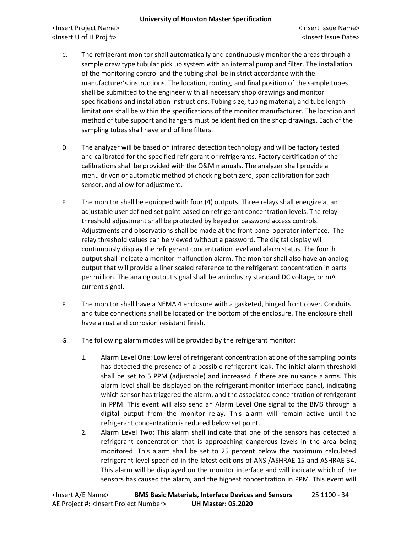- C. The refrigerant monitor shall automatically and continuously monitor the areas through a sample draw type tubular pick up system with an internal pump and filter. The installation of the monitoring control and the tubing shall be in strict accordance with the manufacturer's instructions. The location, routing, and final position of the sample tubes shall be submitted to the engineer with all necessary shop drawings and monitor specifications and installation instructions. Tubing size, tubing material, and tube length limitations shall be within the specifications of the monitor manufacturer. The location and method of tube support and hangers must be identified on the shop drawings. Each of the sampling tubes shall have end of line filters.
- D. The analyzer will be based on infrared detection technology and will be factory tested and calibrated for the specified refrigerant or refrigerants. Factory certification of the calibrations shall be provided with the O&M manuals. The analyzer shall provide a menu driven or automatic method of checking both zero, span calibration for each sensor, and allow for adjustment.
- E. The monitor shall be equipped with four (4) outputs. Three relays shall energize at an adjustable user defined set point based on refrigerant concentration levels. The relay threshold adjustment shall be protected by keyed or password access controls. Adjustments and observations shall be made at the front panel operator interface. The relay threshold values can be viewed without a password. The digital display will continuously display the refrigerant concentration level and alarm status. The fourth output shall indicate a monitor malfunction alarm. The monitor shall also have an analog output that will provide a liner scaled reference to the refrigerant concentration in parts per million. The analog output signal shall be an industry standard DC voltage, or mA current signal.
- F. The monitor shall have a NEMA 4 enclosure with a gasketed, hinged front cover. Conduits and tube connections shall be located on the bottom of the enclosure. The enclosure shall have a rust and corrosion resistant finish.
- G. The following alarm modes will be provided by the refrigerant monitor:
	- 1. Alarm Level One: Low level of refrigerant concentration at one of the sampling points has detected the presence of a possible refrigerant leak. The initial alarm threshold shall be set to 5 PPM (adjustable) and increased if there are nuisance alarms. This alarm level shall be displayed on the refrigerant monitor interface panel, indicating which sensor has triggered the alarm, and the associated concentration of refrigerant in PPM. This event will also send an Alarm Level One signal to the BMS through a digital output from the monitor relay. This alarm will remain active until the refrigerant concentration is reduced below set point.
	- 2. Alarm Level Two: This alarm shall indicate that one of the sensors has detected a refrigerant concentration that is approaching dangerous levels in the area being monitored. This alarm shall be set to 25 percent below the maximum calculated refrigerant level specified in the latest editions of ANSI/ASHRAE 15 and ASHRAE 34. This alarm will be displayed on the monitor interface and will indicate which of the sensors has caused the alarm, and the highest concentration in PPM. This event will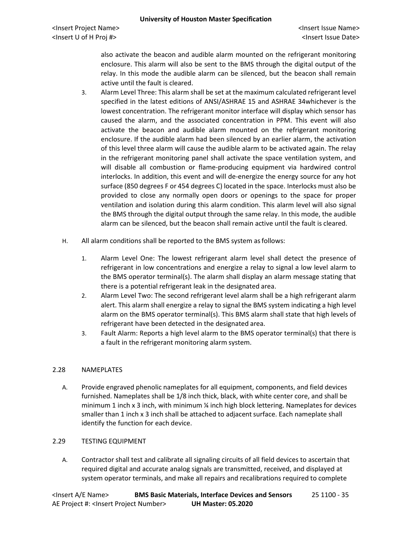also activate the beacon and audible alarm mounted on the refrigerant monitoring enclosure. This alarm will also be sent to the BMS through the digital output of the relay. In this mode the audible alarm can be silenced, but the beacon shall remain active until the fault is cleared.

- 3. Alarm Level Three: This alarm shall be set at the maximum calculated refrigerant level specified in the latest editions of ANSI/ASHRAE 15 and ASHRAE 34whichever is the lowest concentration. The refrigerant monitor interface will display which sensor has caused the alarm, and the associated concentration in PPM. This event will also activate the beacon and audible alarm mounted on the refrigerant monitoring enclosure. If the audible alarm had been silenced by an earlier alarm, the activation of this level three alarm will cause the audible alarm to be activated again. The relay in the refrigerant monitoring panel shall activate the space ventilation system, and will disable all combustion or flame-producing equipment via hardwired control interlocks. In addition, this event and will de-energize the energy source for any hot surface (850 degrees F or 454 degrees C) located in the space. Interlocks must also be provided to close any normally open doors or openings to the space for proper ventilation and isolation during this alarm condition. This alarm level will also signal the BMS through the digital output through the same relay. In this mode, the audible alarm can be silenced, but the beacon shall remain active until the fault is cleared.
- H. All alarm conditions shall be reported to the BMS system asfollows:
	- 1. Alarm Level One: The lowest refrigerant alarm level shall detect the presence of refrigerant in low concentrations and energize a relay to signal a low level alarm to the BMS operator terminal(s). The alarm shall display an alarm message stating that there is a potential refrigerant leak in the designated area.
	- 2. Alarm Level Two: The second refrigerant level alarm shall be a high refrigerant alarm alert. This alarm shall energize a relay to signal the BMS system indicating a high level alarm on the BMS operator terminal(s). This BMS alarm shall state that high levels of refrigerant have been detected in the designated area.
	- 3. Fault Alarm: Reports a high level alarm to the BMS operator terminal(s) that there is a fault in the refrigerant monitoring alarm system.

# 2.28 NAMEPLATES

A. Provide engraved phenolic nameplates for all equipment, components, and field devices furnished. Nameplates shall be 1/8 inch thick, black, with white center core, and shall be minimum 1 inch x 3 inch, with minimum ¼ inch high block lettering. Nameplates for devices smaller than 1 inch x 3 inch shall be attached to adjacent surface. Each nameplate shall identify the function for each device.

## 2.29 TESTING EQUIPMENT

A. Contractor shall test and calibrate all signaling circuits of all field devices to ascertain that required digital and accurate analog signals are transmitted, received, and displayed at system operator terminals, and make all repairs and recalibrations required to complete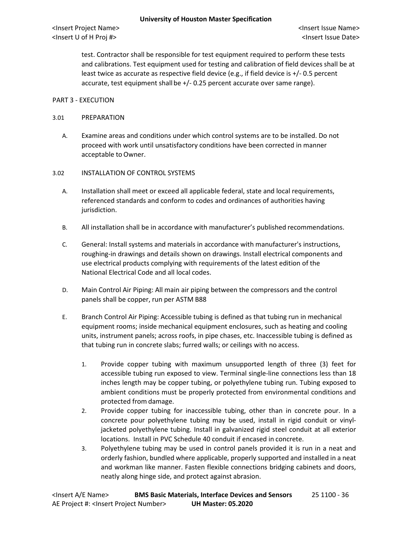test. Contractor shall be responsible for test equipment required to perform these tests and calibrations. Test equipment used for testing and calibration of field devices shall be at least twice as accurate as respective field device (e.g., if field device is +/- 0.5 percent accurate, test equipment shallbe +/- 0.25 percent accurate over same range).

## PART 3 - EXECUTION

## 3.01 PREPARATION

A. Examine areas and conditions under which control systems are to be installed. Do not proceed with work until unsatisfactory conditions have been corrected in manner acceptable to Owner.

## 3.02 INSTALLATION OF CONTROL SYSTEMS

- A. Installation shall meet or exceed all applicable federal, state and local requirements, referenced standards and conform to codes and ordinances of authorities having jurisdiction.
- B. All installation shall be in accordance with manufacturer's published recommendations.
- C. General: Install systems and materials in accordance with manufacturer's instructions, roughing-in drawings and details shown on drawings. Install electrical components and use electrical products complying with requirements of the latest edition of the National Electrical Code and all local codes.
- D. Main Control Air Piping: All main air piping between the compressors and the control panels shall be copper, run per ASTM B88
- E. Branch Control Air Piping: Accessible tubing is defined as that tubing run in mechanical equipment rooms; inside mechanical equipment enclosures, such as heating and cooling units, instrument panels; across roofs, in pipe chases, etc. Inaccessible tubing is defined as that tubing run in concrete slabs; furred walls; or ceilings with no access.
	- 1. Provide copper tubing with maximum unsupported length of three (3) feet for accessible tubing run exposed to view. Terminal single-line connections less than 18 inches length may be copper tubing, or polyethylene tubing run. Tubing exposed to ambient conditions must be properly protected from environmental conditions and protected from damage.
	- 2. Provide copper tubing for inaccessible tubing, other than in concrete pour. In a concrete pour polyethylene tubing may be used, install in rigid conduit or vinyljacketed polyethylene tubing. Install in galvanized rigid steel conduit at all exterior locations. Install in PVC Schedule 40 conduit if encased in concrete.
	- 3. Polyethylene tubing may be used in control panels provided it is run in a neat and orderly fashion, bundled where applicable, properly supported and installed in a neat and workman like manner. Fasten flexible connections bridging cabinets and doors, neatly along hinge side, and protect against abrasion.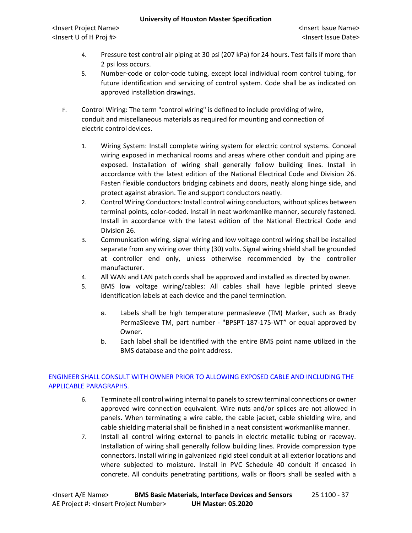- 4. Pressure test control air piping at 30 psi (207 kPa) for 24 hours. Test fails if more than 2 psi loss occurs.
- 5. Number-code or color-code tubing, except local individual room control tubing, for future identification and servicing of control system. Code shall be as indicated on approved installation drawings.
- F. Control Wiring: The term "control wiring" is defined to include providing of wire, conduit and miscellaneous materials as required for mounting and connection of electric control devices.
	- 1. Wiring System: Install complete wiring system for electric control systems. Conceal wiring exposed in mechanical rooms and areas where other conduit and piping are exposed. Installation of wiring shall generally follow building lines. Install in accordance with the latest edition of the National Electrical Code and Division 26. Fasten flexible conductors bridging cabinets and doors, neatly along hinge side, and protect against abrasion. Tie and support conductors neatly.
	- 2. Control Wiring Conductors: Install control wiring conductors, without splices between terminal points, color-coded. Install in neat workmanlike manner, securely fastened. Install in accordance with the latest edition of the National Electrical Code and Division 26.
	- 3. Communication wiring, signal wiring and low voltage control wiring shall be installed separate from any wiring over thirty (30) volts. Signal wiring shield shall be grounded at controller end only, unless otherwise recommended by the controller manufacturer.
	- 4. All WAN and LAN patch cords shall be approved and installed as directed by owner.
	- 5. BMS low voltage wiring/cables: All cables shall have legible printed sleeve identification labels at each device and the panel termination.
		- a. Labels shall be high temperature permasleeve (TM) Marker, such as Brady PermaSleeve TM, part number - "BPSPT-187-175-WT" or equal approved by Owner.
		- b. Each label shall be identified with the entire BMS point name utilized in the BMS database and the point address.

# ENGINEER SHALL CONSULT WITH OWNER PRIOR TO ALLOWING EXPOSED CABLE AND INCLUDING THE APPLICABLE PARAGRAPHS.

- 6. Terminate all control wiring internal to panels to screw terminal connections or owner approved wire connection equivalent. Wire nuts and/or splices are not allowed in panels. When terminating a wire cable, the cable jacket, cable shielding wire, and cable shielding material shall be finished in a neat consistent workmanlike manner.
- 7. Install all control wiring external to panels in electric metallic tubing or raceway. Installation of wiring shall generally follow building lines. Provide compression type connectors. Install wiring in galvanized rigid steel conduit at all exterior locations and where subjected to moisture. Install in PVC Schedule 40 conduit if encased in concrete. All conduits penetrating partitions, walls or floors shall be sealed with a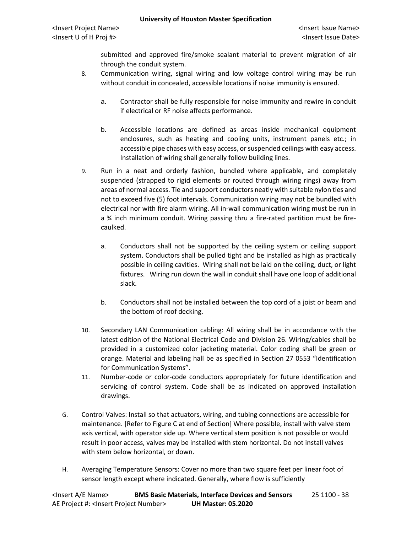submitted and approved fire/smoke sealant material to prevent migration of air through the conduit system.

- 8. Communication wiring, signal wiring and low voltage control wiring may be run without conduit in concealed, accessible locations if noise immunity is ensured.
	- a. Contractor shall be fully responsible for noise immunity and rewire in conduit if electrical or RF noise affects performance.
	- b. Accessible locations are defined as areas inside mechanical equipment enclosures, such as heating and cooling units, instrument panels etc.; in accessible pipe chases with easy access, or suspended ceilings with easy access. Installation of wiring shall generally follow building lines.
- 9. Run in a neat and orderly fashion, bundled where applicable, and completely suspended (strapped to rigid elements or routed through wiring rings) away from areas of normal access. Tie and support conductors neatly with suitable nylon ties and not to exceed five (5) foot intervals. Communication wiring may not be bundled with electrical nor with fire alarm wiring. All in-wall communication wiring must be run in a ¾ inch minimum conduit. Wiring passing thru a fire-rated partition must be firecaulked.
	- a. Conductors shall not be supported by the ceiling system or ceiling support system. Conductors shall be pulled tight and be installed as high as practically possible in ceiling cavities. Wiring shall not be laid on the ceiling, duct, or light fixtures. Wiring run down the wall in conduit shall have one loop of additional slack.
	- b. Conductors shall not be installed between the top cord of a joist or beam and the bottom of roof decking.
- 10. Secondary LAN Communication cabling: All wiring shall be in accordance with the latest edition of the National Electrical Code and Division 26. Wiring/cables shall be provided in a customized color jacketing material. Color coding shall be green or orange. Material and labeling hall be as specified in Section 27 0553 "Identification for Communication Systems".
- 11. Number-code or color-code conductors appropriately for future identification and servicing of control system. Code shall be as indicated on approved installation drawings.
- G. Control Valves: Install so that actuators, wiring, and tubing connections are accessible for maintenance. [Refer to Figure C at end of Section] Where possible, install with valve stem axis vertical, with operator side up. Where vertical stem position is not possible or would result in poor access, valves may be installed with stem horizontal. Do not install valves with stem below horizontal, or down.
- H. Averaging Temperature Sensors: Cover no more than two square feet per linear foot of sensor length except where indicated. Generally, where flow is sufficiently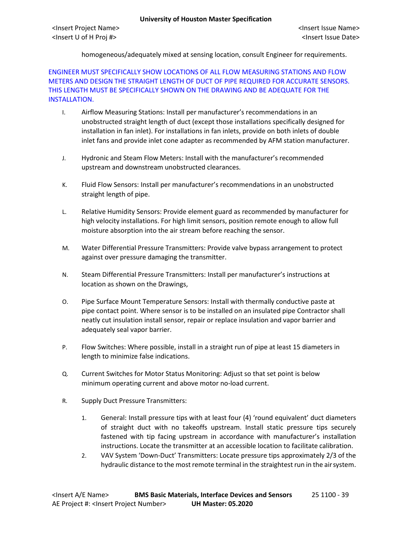homogeneous/adequately mixed at sensing location, consult Engineer for requirements.

ENGINEER MUST SPECIFICALLY SHOW LOCATIONS OF ALL FLOW MEASURING STATIONS AND FLOW METERS AND DESIGN THE STRAIGHT LENGTH OF DUCT OF PIPE REQUIRED FOR ACCURATE SENSORS. THIS LENGTH MUST BE SPECIFICALLY SHOWN ON THE DRAWING AND BE ADEQUATE FOR THE INSTALLATION.

- I. Airflow Measuring Stations: Install per manufacturer's recommendations in an unobstructed straight length of duct (except those installations specifically designed for installation in fan inlet). For installations in fan inlets, provide on both inlets of double inlet fans and provide inlet cone adapter as recommended by AFM station manufacturer.
- J. Hydronic and Steam Flow Meters: Install with the manufacturer's recommended upstream and downstream unobstructed clearances.
- K. Fluid Flow Sensors: Install per manufacturer's recommendations in an unobstructed straight length of pipe.
- L. Relative Humidity Sensors: Provide element guard as recommended by manufacturer for high velocity installations. For high limit sensors, position remote enough to allow full moisture absorption into the air stream before reaching the sensor.
- M. Water Differential Pressure Transmitters: Provide valve bypass arrangement to protect against over pressure damaging the transmitter.
- N. Steam Differential Pressure Transmitters: Install per manufacturer's instructions at location as shown on the Drawings,
- O. Pipe Surface Mount Temperature Sensors: Install with thermally conductive paste at pipe contact point. Where sensor is to be installed on an insulated pipe Contractor shall neatly cut insulation install sensor, repair or replace insulation and vapor barrier and adequately seal vapor barrier.
- P. Flow Switches: Where possible, install in a straight run of pipe at least 15 diameters in length to minimize false indications.
- Q. Current Switches for Motor Status Monitoring: Adjust so that set point is below minimum operating current and above motor no-load current.
- R. Supply Duct Pressure Transmitters:
	- 1. General: Install pressure tips with at least four (4) 'round equivalent' duct diameters of straight duct with no takeoffs upstream. Install static pressure tips securely fastened with tip facing upstream in accordance with manufacturer's installation instructions. Locate the transmitter at an accessible location to facilitate calibration.
	- 2. VAV System 'Down-Duct' Transmitters: Locate pressure tips approximately 2/3 of the hydraulic distance to the most remote terminal in the straightest run in the airsystem.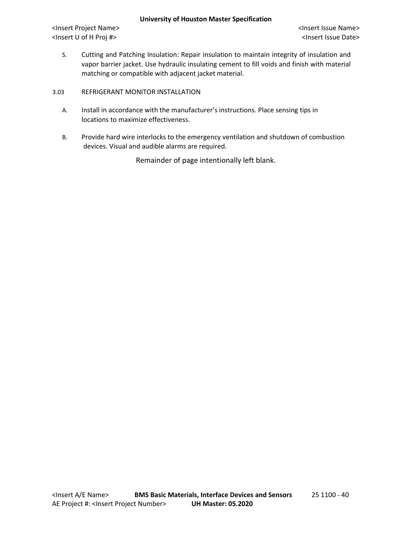<Insert Project Name> <Insert Issue Name> <Insert U of H Proj #> <Insert Issue Date>

S. Cutting and Patching Insulation: Repair insulation to maintain integrity of insulation and vapor barrier jacket. Use hydraulic insulating cement to fill voids and finish with material matching or compatible with adjacent jacket material.

## 3.03 REFRIGERANT MONITOR INSTALLATION

- A. Install in accordance with the manufacturer's instructions. Place sensing tips in locations to maximize effectiveness.
- B. Provide hard wire interlocks to the emergency ventilation and shutdown of combustion devices. Visual and audible alarms are required.

Remainder of page intentionally left blank.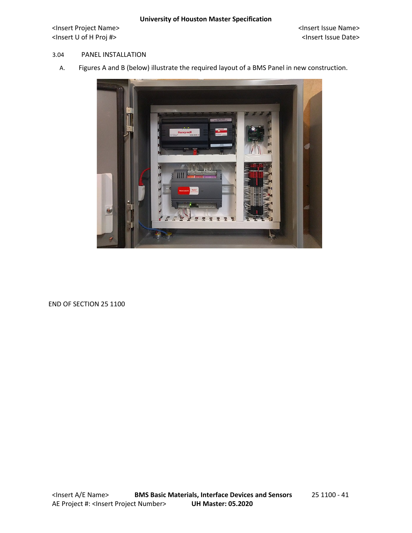#### 3.04 PANEL INSTALLATION

A. Figures A and B (below) illustrate the required layout of a BMS Panel in new construction.



END OF SECTION 25 1100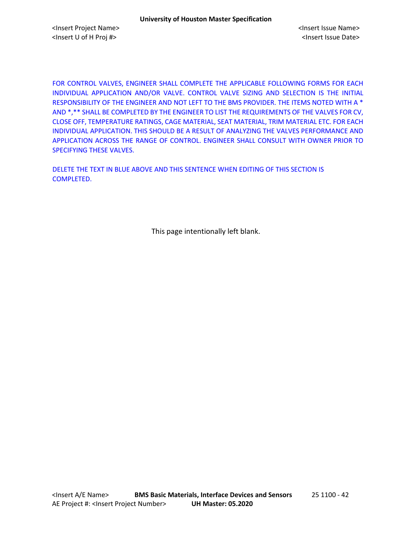FOR CONTROL VALVES, ENGINEER SHALL COMPLETE THE APPLICABLE FOLLOWING FORMS FOR EACH INDIVIDUAL APPLICATION AND/OR VALVE. CONTROL VALVE SIZING AND SELECTION IS THE INITIAL RESPONSIBILITY OF THE ENGINEER AND NOT LEFT TO THE BMS PROVIDER. THE ITEMS NOTED WITH A \* AND \*,\*\* SHALL BE COMPLETED BY THE ENGINEER TO LIST THE REQUIREMENTS OF THE VALVES FOR CV, CLOSE OFF, TEMPERATURE RATINGS, CAGE MATERIAL, SEAT MATERIAL, TRIM MATERIAL ETC. FOR EACH INDIVIDUAL APPLICATION. THIS SHOULD BE A RESULT OF ANALYZING THE VALVES PERFORMANCE AND APPLICATION ACROSS THE RANGE OF CONTROL. ENGINEER SHALL CONSULT WITH OWNER PRIOR TO SPECIFYING THESE VALVES.

DELETE THE TEXT IN BLUE ABOVE AND THIS SENTENCE WHEN EDITING OF THIS SECTION IS COMPLETED.

This page intentionally left blank.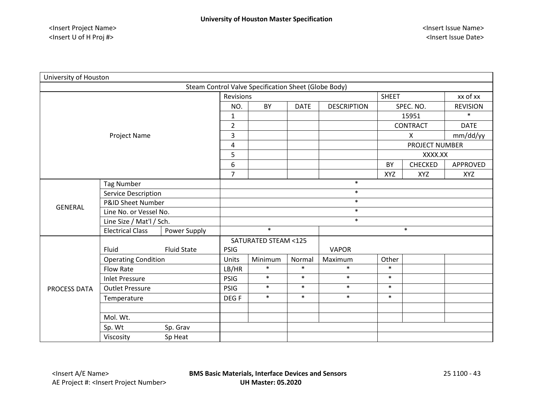| University of Houston                                |                            |                    |                  |                                |             |                    |              |                 |                 |  |
|------------------------------------------------------|----------------------------|--------------------|------------------|--------------------------------|-------------|--------------------|--------------|-----------------|-----------------|--|
| Steam Control Valve Specification Sheet (Globe Body) |                            |                    |                  |                                |             |                    |              |                 |                 |  |
|                                                      |                            |                    | Revisions        |                                |             |                    | <b>SHEET</b> |                 | xx of xx        |  |
|                                                      |                            |                    | NO.              | BY                             | <b>DATE</b> | <b>DESCRIPTION</b> |              | SPEC. NO.       | <b>REVISION</b> |  |
|                                                      |                            |                    | 1                |                                |             |                    |              | 15951           | $\ast$          |  |
|                                                      |                            |                    | $\overline{2}$   |                                |             |                    |              | <b>CONTRACT</b> | <b>DATE</b>     |  |
|                                                      | Project Name               |                    | 3                |                                |             |                    |              | X               | mm/dd/yy        |  |
|                                                      |                            |                    | 4                |                                |             |                    |              | PROJECT NUMBER  |                 |  |
|                                                      |                            |                    | 5                |                                |             |                    |              | XXXX.XX         |                 |  |
|                                                      |                            |                    | 6                |                                |             |                    | BY           | CHECKED         | APPROVED        |  |
|                                                      |                            |                    | $\overline{7}$   |                                |             |                    | <b>XYZ</b>   | <b>XYZ</b>      | <b>XYZ</b>      |  |
|                                                      | <b>Tag Number</b>          |                    | $\ast$           |                                |             |                    |              |                 |                 |  |
|                                                      | Service Description        |                    | $\ast$           |                                |             |                    |              |                 |                 |  |
| <b>GENERAL</b>                                       | P&ID Sheet Number          |                    | $\ast$           |                                |             |                    |              |                 |                 |  |
|                                                      | Line No. or Vessel No.     |                    | $\ast$           |                                |             |                    |              |                 |                 |  |
|                                                      | Line Size / Mat'l / Sch.   |                    | $\ast$           |                                |             |                    |              |                 |                 |  |
|                                                      | <b>Electrical Class</b>    | Power Supply       |                  | $\ast$                         |             |                    |              | $\ast$          |                 |  |
|                                                      |                            |                    |                  | <b>SATURATED STEAM &lt;125</b> |             |                    |              |                 |                 |  |
|                                                      | Fluid                      | <b>Fluid State</b> | <b>PSIG</b>      |                                |             | <b>VAPOR</b>       |              |                 |                 |  |
|                                                      | <b>Operating Condition</b> |                    | Units            | Minimum                        | Normal      | Maximum            | Other        |                 |                 |  |
|                                                      | <b>Flow Rate</b>           |                    | LB/HR            | $\ast$                         | $\ast$      | $\ast$             | $\ast$       |                 |                 |  |
|                                                      | <b>Inlet Pressure</b>      |                    | <b>PSIG</b>      | $\ast$                         | $\ast$      | $\ast$             | $\ast$       |                 |                 |  |
| PROCESS DATA                                         | <b>Outlet Pressure</b>     |                    | <b>PSIG</b>      | $\ast$                         | $\ast$      | $\ast$             | $\ast$       |                 |                 |  |
|                                                      | Temperature                |                    | DEG <sub>F</sub> | $\ast$                         | $\ast$      | $\ast$             | $\ast$       |                 |                 |  |
|                                                      |                            |                    |                  |                                |             |                    |              |                 |                 |  |
|                                                      | Mol. Wt.                   |                    |                  |                                |             |                    |              |                 |                 |  |
|                                                      | Sp. Wt                     | Sp. Grav           |                  |                                |             |                    |              |                 |                 |  |
|                                                      | Viscosity                  | Sp Heat            |                  |                                |             |                    |              |                 |                 |  |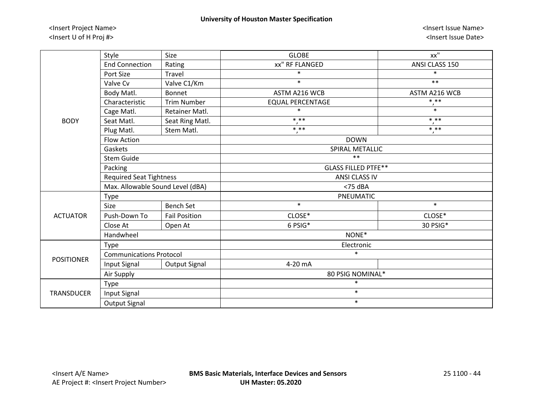| Style                            | Size                               | <b>GLOBE</b>                   | $XX$ "                  |  |  |  |  |
|----------------------------------|------------------------------------|--------------------------------|-------------------------|--|--|--|--|
| <b>End Connection</b>            | Rating                             | xx" RF FLANGED                 | ANSI CLASS 150          |  |  |  |  |
| Port Size                        | Travel                             | $\ast$                         | $\ast$                  |  |  |  |  |
| Valve Cv                         | Valve C1/Km                        | $\ast$                         | $**$                    |  |  |  |  |
| Body Matl.                       | <b>Bonnet</b>                      | ASTM A216 WCB                  | ASTM A216 WCB           |  |  |  |  |
| Characteristic                   | <b>Trim Number</b>                 | <b>EQUAL PERCENTAGE</b>        | $***$<br>$\cdot$        |  |  |  |  |
| Cage Matl.                       | Retainer Matl.                     | $\ast$                         | $\ast$                  |  |  |  |  |
| Seat Matl.                       | Seat Ring Matl.                    | * **                           | $***$<br>$\prime$       |  |  |  |  |
| Plug Matl.                       | Stem Matl.                         | $***$                          | $***$<br>$\overline{ }$ |  |  |  |  |
| <b>Flow Action</b>               |                                    | <b>DOWN</b>                    |                         |  |  |  |  |
| Gaskets                          |                                    | SPIRAL METALLIC                |                         |  |  |  |  |
| <b>Stem Guide</b>                |                                    | $**$                           |                         |  |  |  |  |
| Packing                          |                                    | <b>GLASS FILLED PTFE**</b>     |                         |  |  |  |  |
| <b>Required Seat Tightness</b>   |                                    | <b>ANSI CLASS IV</b>           |                         |  |  |  |  |
| Max. Allowable Sound Level (dBA) |                                    | $<$ 75 dBA                     |                         |  |  |  |  |
| Type                             |                                    | PNEUMATIC                      |                         |  |  |  |  |
| Size                             | <b>Bench Set</b>                   | $\ast$                         | $\ast$                  |  |  |  |  |
| Push-Down To                     | <b>Fail Position</b>               | CLOSE*                         | CLOSE*                  |  |  |  |  |
| Close At                         | Open At                            | 6 PSIG*                        | 30 PSIG*                |  |  |  |  |
| Handwheel                        |                                    | NONE*                          |                         |  |  |  |  |
| Type                             |                                    | Electronic                     |                         |  |  |  |  |
|                                  |                                    | $\ast$                         |                         |  |  |  |  |
| Input Signal                     | <b>Output Signal</b>               | 4-20 mA                        |                         |  |  |  |  |
|                                  |                                    | 80 PSIG NOMINAL*               |                         |  |  |  |  |
|                                  |                                    | $\ast$                         |                         |  |  |  |  |
|                                  |                                    | $\ast$                         |                         |  |  |  |  |
| <b>Output Signal</b>             |                                    | $\ast$                         |                         |  |  |  |  |
|                                  | Air Supply<br>Type<br>Input Signal | <b>Communications Protocol</b> |                         |  |  |  |  |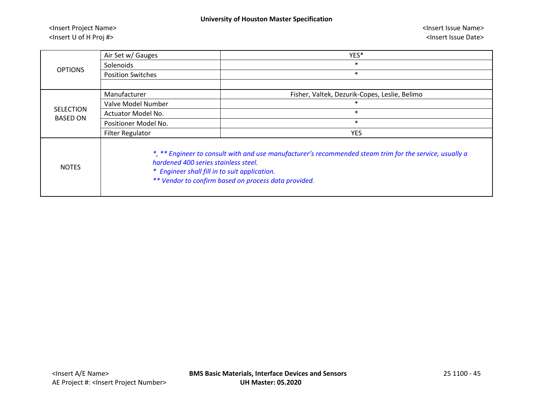| <b>OPTIONS</b>                      | Air Set w/ Gauges                                                                     | YES*                                                                                                                                                            |
|-------------------------------------|---------------------------------------------------------------------------------------|-----------------------------------------------------------------------------------------------------------------------------------------------------------------|
|                                     | Solenoids                                                                             | $\ast$                                                                                                                                                          |
|                                     | <b>Position Switches</b>                                                              | $\ast$                                                                                                                                                          |
|                                     |                                                                                       |                                                                                                                                                                 |
|                                     | Manufacturer                                                                          | Fisher, Valtek, Dezurik-Copes, Leslie, Belimo                                                                                                                   |
|                                     | Valve Model Number                                                                    |                                                                                                                                                                 |
| <b>SELECTION</b><br><b>BASED ON</b> | Actuator Model No.                                                                    | $\ast$                                                                                                                                                          |
|                                     | Positioner Model No.                                                                  | $\ast$                                                                                                                                                          |
|                                     | <b>Filter Regulator</b>                                                               | <b>YES</b>                                                                                                                                                      |
| <b>NOTES</b>                        | hardened 400 series stainless steel.<br>* Engineer shall fill in to suit application. | *, ** Engineer to consult with and use manufacturer's recommended steam trim for the service, usually a<br>** Vendor to confirm based on process data provided. |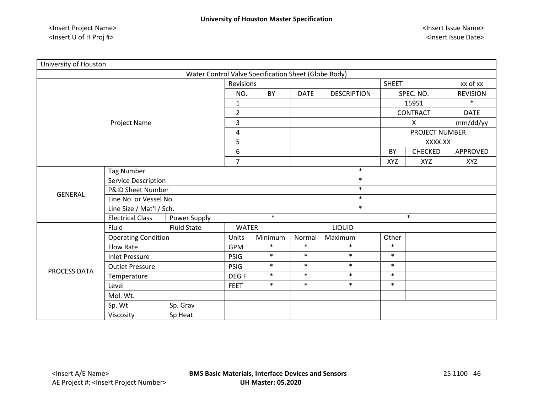| University of Houston |                                         |                    |                  |                                                      |             |                    |              |                       |                 |  |
|-----------------------|-----------------------------------------|--------------------|------------------|------------------------------------------------------|-------------|--------------------|--------------|-----------------------|-----------------|--|
|                       |                                         |                    |                  | Water Control Valve Specification Sheet (Globe Body) |             |                    |              |                       |                 |  |
|                       |                                         |                    | Revisions        |                                                      |             |                    | <b>SHEET</b> |                       | xx of xx        |  |
|                       |                                         |                    | NO.              | BY                                                   | <b>DATE</b> | <b>DESCRIPTION</b> |              | SPEC. NO.             | <b>REVISION</b> |  |
|                       |                                         |                    |                  |                                                      |             |                    |              | 15951                 | $\ast$          |  |
|                       |                                         |                    | $\overline{2}$   |                                                      |             |                    |              | <b>CONTRACT</b>       | <b>DATE</b>     |  |
|                       | Project Name                            |                    | 3                |                                                      |             |                    |              | $\mathsf{X}$          | mm/dd/yy        |  |
|                       |                                         |                    | 4                |                                                      |             |                    |              | <b>PROJECT NUMBER</b> |                 |  |
|                       |                                         |                    | 5                |                                                      |             |                    |              | XXXX.XX               |                 |  |
|                       |                                         |                    | 6                |                                                      |             |                    | <b>BY</b>    | <b>CHECKED</b>        | APPROVED        |  |
|                       |                                         |                    | $\overline{7}$   |                                                      |             |                    | <b>XYZ</b>   | <b>XYZ</b>            | XYZ             |  |
|                       | <b>Tag Number</b>                       |                    | $\ast$           |                                                      |             |                    |              |                       |                 |  |
|                       | Service Description                     |                    | $\ast$           |                                                      |             |                    |              |                       |                 |  |
| <b>GENERAL</b>        | P&ID Sheet Number                       |                    | $\ast$           |                                                      |             |                    |              |                       |                 |  |
|                       | Line No. or Vessel No.                  |                    | $\ast$           |                                                      |             |                    |              |                       |                 |  |
|                       | Line Size / Mat'l / Sch.                |                    | $\ast$           |                                                      |             |                    |              |                       |                 |  |
|                       | <b>Electrical Class</b><br>Power Supply |                    | $\ast$<br>$\ast$ |                                                      |             |                    |              |                       |                 |  |
|                       | Fluid                                   | <b>Fluid State</b> |                  | <b>WATER</b><br>LIQUID                               |             |                    |              |                       |                 |  |
|                       | <b>Operating Condition</b>              |                    | Units            | Minimum                                              | Normal      | Maximum            | Other        |                       |                 |  |
|                       | <b>Flow Rate</b>                        |                    | <b>GPM</b>       | $\ast$                                               | $\ast$      | $\ast$             | $\ast$       |                       |                 |  |
|                       | <b>Inlet Pressure</b>                   |                    | <b>PSIG</b>      | $\ast$                                               | $\ast$      | $\ast$             | $\ast$       |                       |                 |  |
| PROCESS DATA          | <b>Outlet Pressure</b>                  |                    | <b>PSIG</b>      | $\ast$                                               | $\ast$      | $\ast$             | $\ast$       |                       |                 |  |
|                       | Temperature                             |                    | DEG F            | $\ast$                                               | $\ast$      | $\ast$             | $\ast$       |                       |                 |  |
|                       | Level                                   |                    | <b>FEET</b>      | $\ast$                                               | $\ast$      | $\ast$             | $\ast$       |                       |                 |  |
|                       | Mol. Wt.                                |                    |                  |                                                      |             |                    |              |                       |                 |  |
|                       | Sp. Wt                                  | Sp. Grav           |                  |                                                      |             |                    |              |                       |                 |  |
|                       | Viscosity                               | Sp Heat            |                  |                                                      |             |                    |              |                       |                 |  |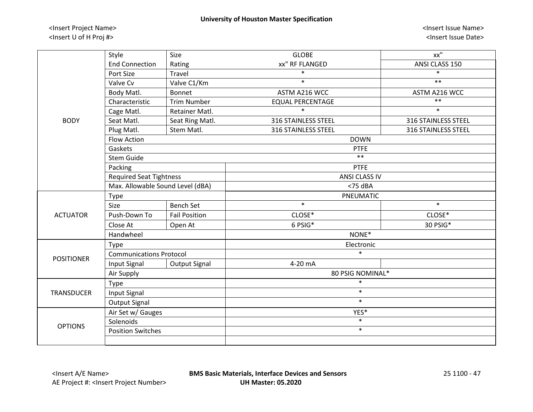|                   | Style                            | Size                 | <b>GLOBE</b>               | XX''                       |  |  |  |
|-------------------|----------------------------------|----------------------|----------------------------|----------------------------|--|--|--|
|                   | <b>End Connection</b>            | Rating               | xx" RF FLANGED             | ANSI CLASS 150             |  |  |  |
|                   | Port Size                        | Travel               | $\ast$                     | $\ast$                     |  |  |  |
|                   | Valve Cv                         | Valve C1/Km          | $\ast$                     | $**$                       |  |  |  |
|                   | Body Matl.                       | Bonnet               | ASTM A216 WCC              | ASTM A216 WCC              |  |  |  |
|                   | Characteristic                   | <b>Trim Number</b>   | <b>EQUAL PERCENTAGE</b>    | $**$                       |  |  |  |
|                   | Cage Matl.                       | Retainer Matl.       | $\ast$                     | $\ast$                     |  |  |  |
| <b>BODY</b>       | Seat Matl.                       | Seat Ring Matl.      | <b>316 STAINLESS STEEL</b> | <b>316 STAINLESS STEEL</b> |  |  |  |
|                   | Plug Matl.                       | Stem Matl.           | <b>316 STAINLESS STEEL</b> | <b>316 STAINLESS STEEL</b> |  |  |  |
|                   | Flow Action                      |                      | <b>DOWN</b>                |                            |  |  |  |
|                   | Gaskets                          |                      | <b>PTFE</b>                |                            |  |  |  |
|                   | <b>Stem Guide</b>                |                      | $**$                       |                            |  |  |  |
|                   | Packing                          |                      | <b>PTFE</b>                |                            |  |  |  |
|                   | <b>Required Seat Tightness</b>   |                      | ANSI CLASS IV              |                            |  |  |  |
|                   | Max. Allowable Sound Level (dBA) |                      | $<$ 75 dBA                 |                            |  |  |  |
|                   | Type                             |                      | PNEUMATIC                  |                            |  |  |  |
|                   | Size                             | <b>Bench Set</b>     | $\ast$                     | $\ast$                     |  |  |  |
| <b>ACTUATOR</b>   | Push-Down To                     | <b>Fail Position</b> | CLOSE*                     | CLOSE*                     |  |  |  |
|                   | Close At                         | Open At              | 6 PSIG*                    | 30 PSIG*                   |  |  |  |
|                   | Handwheel                        |                      | NONE*                      |                            |  |  |  |
|                   | Type                             |                      | Electronic                 |                            |  |  |  |
|                   | <b>Communications Protocol</b>   |                      | $\ast$                     |                            |  |  |  |
| <b>POSITIONER</b> | Input Signal                     | <b>Output Signal</b> | 4-20 mA                    |                            |  |  |  |
|                   | Air Supply                       |                      | 80 PSIG NOMINAL*           |                            |  |  |  |
|                   | Type                             |                      | $\ast$                     |                            |  |  |  |
| TRANSDUCER        | Input Signal                     |                      | $\ast$                     |                            |  |  |  |
|                   | <b>Output Signal</b>             |                      | $\ast$                     |                            |  |  |  |
|                   | Air Set w/ Gauges                |                      | YES*                       |                            |  |  |  |
|                   | Solenoids                        |                      | $\ast$                     |                            |  |  |  |
| <b>OPTIONS</b>    | <b>Position Switches</b>         |                      | $\ast$                     |                            |  |  |  |
|                   |                                  |                      |                            |                            |  |  |  |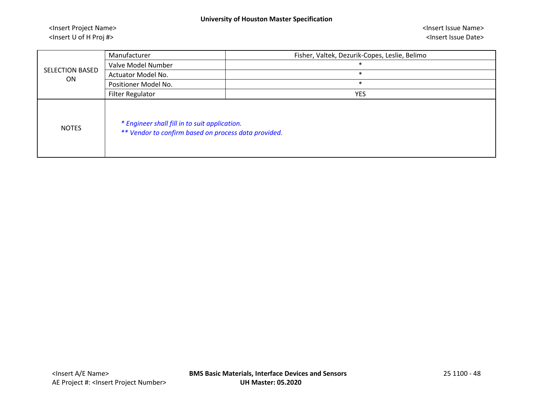| <b>SELECTION BASED</b><br>ON | Manufacturer                                                                                          | Fisher, Valtek, Dezurik-Copes, Leslie, Belimo |
|------------------------------|-------------------------------------------------------------------------------------------------------|-----------------------------------------------|
|                              | Valve Model Number                                                                                    | *                                             |
|                              | Actuator Model No.                                                                                    | $\ast$                                        |
|                              | Positioner Model No.                                                                                  | $\ast$                                        |
|                              | <b>Filter Regulator</b>                                                                               | <b>YES</b>                                    |
| <b>NOTES</b>                 | * Engineer shall fill in to suit application.<br>** Vendor to confirm based on process data provided. |                                               |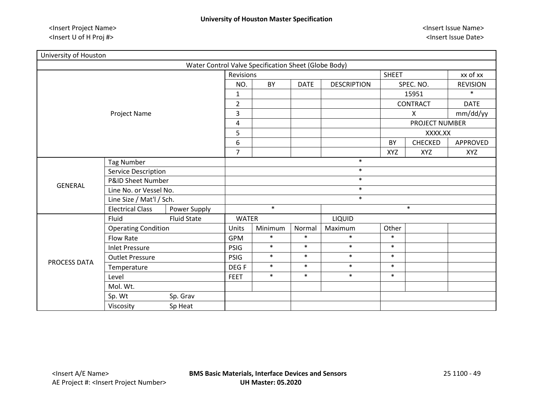| University of Houston |                            |                    |                        |                                                      |             |                    |              |                 |                 |  |
|-----------------------|----------------------------|--------------------|------------------------|------------------------------------------------------|-------------|--------------------|--------------|-----------------|-----------------|--|
|                       |                            |                    |                        | Water Control Valve Specification Sheet (Globe Body) |             |                    |              |                 |                 |  |
|                       |                            |                    | Revisions              |                                                      |             |                    | <b>SHEET</b> |                 | xx of xx        |  |
|                       |                            |                    | NO.                    | BY                                                   | <b>DATE</b> | <b>DESCRIPTION</b> |              | SPEC. NO.       | <b>REVISION</b> |  |
|                       |                            |                    | $\mathbf{1}$           |                                                      |             |                    |              | 15951           | $\ast$          |  |
|                       |                            |                    | $\overline{2}$         |                                                      |             |                    |              | <b>CONTRACT</b> | <b>DATE</b>     |  |
|                       | Project Name               |                    | 3                      |                                                      |             |                    |              | X               | mm/dd/yy        |  |
|                       |                            |                    | 4                      |                                                      |             |                    |              | PROJECT NUMBER  |                 |  |
|                       |                            |                    | 5                      |                                                      |             |                    |              | XXXX.XX         |                 |  |
|                       |                            |                    | 6                      |                                                      |             |                    | BY           | CHECKED         | APPROVED        |  |
|                       |                            |                    | $\overline{7}$         |                                                      |             |                    | <b>XYZ</b>   | <b>XYZ</b>      | <b>XYZ</b>      |  |
|                       | <b>Tag Number</b>          |                    | $\ast$                 |                                                      |             |                    |              |                 |                 |  |
|                       | Service Description        |                    | $\ast$                 |                                                      |             |                    |              |                 |                 |  |
| <b>GENERAL</b>        | P&ID Sheet Number          |                    | $\ast$                 |                                                      |             |                    |              |                 |                 |  |
|                       | Line No. or Vessel No.     |                    | $\ast$                 |                                                      |             |                    |              |                 |                 |  |
|                       | Line Size / Mat'l / Sch.   |                    | $\ast$                 |                                                      |             |                    |              |                 |                 |  |
|                       | <b>Electrical Class</b>    | Power Supply       |                        | $\ast$<br>$\ast$                                     |             |                    |              |                 |                 |  |
|                       | Fluid                      | <b>Fluid State</b> | <b>WATER</b><br>LIQUID |                                                      |             |                    |              |                 |                 |  |
|                       | <b>Operating Condition</b> |                    | Units                  | Minimum                                              | Normal      | Maximum            | Other        |                 |                 |  |
|                       | <b>Flow Rate</b>           |                    | <b>GPM</b>             | $\ast$                                               | $\ast$      | $\ast$             | $\ast$       |                 |                 |  |
|                       | <b>Inlet Pressure</b>      |                    | <b>PSIG</b>            | $\ast$                                               | $\ast$      | $\ast$             | $\ast$       |                 |                 |  |
| PROCESS DATA          | <b>Outlet Pressure</b>     |                    | <b>PSIG</b>            | $\ast$                                               | $\ast$      | $\ast$             | $\ast$       |                 |                 |  |
|                       | Temperature                |                    | DEG F                  | $\ast$                                               | $\ast$      | $\ast$             | $\ast$       |                 |                 |  |
|                       | Level                      |                    | <b>FEET</b>            | $\ast$                                               | $\ast$      | $\ast$             | $\ast$       |                 |                 |  |
|                       | Mol. Wt.                   |                    |                        |                                                      |             |                    |              |                 |                 |  |
|                       | Sp. Wt                     | Sp. Grav           |                        |                                                      |             |                    |              |                 |                 |  |
|                       | Viscosity                  | Sp Heat            |                        |                                                      |             |                    |              |                 |                 |  |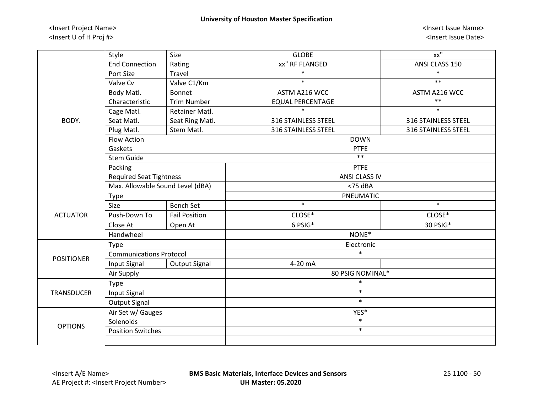|                   | Style                            | Size                 | <b>GLOBE</b>               | XX''                       |  |  |  |  |
|-------------------|----------------------------------|----------------------|----------------------------|----------------------------|--|--|--|--|
|                   | <b>End Connection</b>            | Rating               | xx" RF FLANGED             | ANSI CLASS 150             |  |  |  |  |
|                   | Port Size                        | Travel               | $\ast$                     | $\ast$                     |  |  |  |  |
|                   | Valve Cv                         | Valve C1/Km          | $\ast$                     | $**$                       |  |  |  |  |
|                   | Body Matl.                       | <b>Bonnet</b>        | ASTM A216 WCC              | ASTM A216 WCC              |  |  |  |  |
|                   | Characteristic                   | <b>Trim Number</b>   | <b>EQUAL PERCENTAGE</b>    | $***$                      |  |  |  |  |
|                   | Cage Matl.                       | Retainer Matl.       | $\ast$                     | $\ast$                     |  |  |  |  |
| BODY.             | Seat Matl.                       | Seat Ring Matl.      | <b>316 STAINLESS STEEL</b> | <b>316 STAINLESS STEEL</b> |  |  |  |  |
|                   | Plug Matl.                       | Stem Matl.           | <b>316 STAINLESS STEEL</b> | <b>316 STAINLESS STEEL</b> |  |  |  |  |
|                   | Flow Action                      |                      | <b>DOWN</b>                |                            |  |  |  |  |
|                   | Gaskets                          |                      | <b>PTFE</b>                |                            |  |  |  |  |
|                   | <b>Stem Guide</b>                |                      | $**$                       |                            |  |  |  |  |
|                   | Packing                          |                      | <b>PTFE</b>                |                            |  |  |  |  |
|                   | <b>Required Seat Tightness</b>   |                      | <b>ANSI CLASS IV</b>       |                            |  |  |  |  |
|                   | Max. Allowable Sound Level (dBA) |                      | $<$ 75 dBA                 |                            |  |  |  |  |
|                   | <b>Type</b>                      |                      | PNEUMATIC                  |                            |  |  |  |  |
|                   | Size                             | <b>Bench Set</b>     | $\ast$                     | $\ast$                     |  |  |  |  |
| <b>ACTUATOR</b>   | Push-Down To                     | <b>Fail Position</b> | CLOSE*                     | CLOSE*                     |  |  |  |  |
|                   | Close At                         | Open At              | 6 PSIG*                    | 30 PSIG*                   |  |  |  |  |
|                   | Handwheel                        |                      | NONE*                      |                            |  |  |  |  |
|                   | Type                             |                      | Electronic                 |                            |  |  |  |  |
|                   | <b>Communications Protocol</b>   |                      | $\ast$                     |                            |  |  |  |  |
| <b>POSITIONER</b> | Input Signal                     | <b>Output Signal</b> | 4-20 mA                    |                            |  |  |  |  |
|                   | Air Supply                       |                      | 80 PSIG NOMINAL*           |                            |  |  |  |  |
|                   | Type                             |                      | $\ast$                     |                            |  |  |  |  |
| TRANSDUCER        | Input Signal                     |                      | $\ast$                     |                            |  |  |  |  |
|                   | <b>Output Signal</b>             |                      | $\ast$                     |                            |  |  |  |  |
|                   | Air Set w/ Gauges                |                      | YES*                       |                            |  |  |  |  |
|                   | Solenoids                        |                      | $\ast$                     |                            |  |  |  |  |
| <b>OPTIONS</b>    | <b>Position Switches</b>         |                      | $\ast$                     |                            |  |  |  |  |
|                   |                                  |                      |                            |                            |  |  |  |  |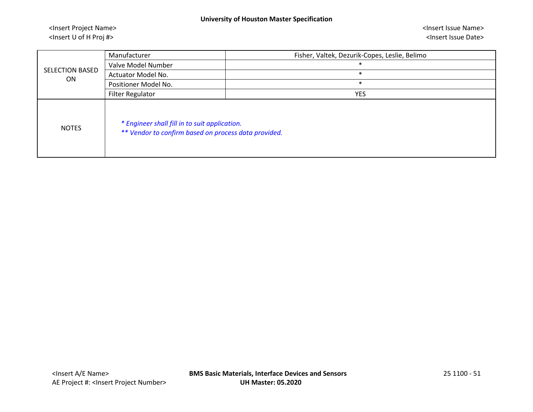| <b>SELECTION BASED</b><br>ON | Manufacturer                                                                                          | Fisher, Valtek, Dezurik-Copes, Leslie, Belimo |
|------------------------------|-------------------------------------------------------------------------------------------------------|-----------------------------------------------|
|                              | Valve Model Number                                                                                    | $\ast$                                        |
|                              | Actuator Model No.                                                                                    | $\ast$                                        |
|                              | Positioner Model No.                                                                                  | $\ast$                                        |
|                              | <b>Filter Regulator</b>                                                                               | <b>YES</b>                                    |
| <b>NOTES</b>                 | * Engineer shall fill in to suit application.<br>** Vendor to confirm based on process data provided. |                                               |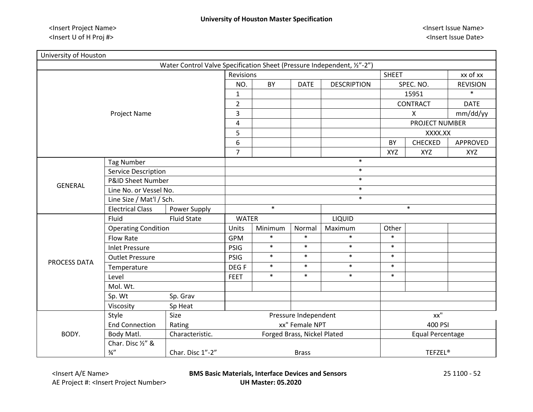┑

| University of Houston |                                      |                                                                         |                  |                        |                             |                    |                |                         |                 |  |
|-----------------------|--------------------------------------|-------------------------------------------------------------------------|------------------|------------------------|-----------------------------|--------------------|----------------|-------------------------|-----------------|--|
|                       |                                      | Water Control Valve Specification Sheet (Pressure Independent, 1/2"-2") |                  |                        |                             |                    |                |                         |                 |  |
|                       |                                      |                                                                         | Revisions        |                        |                             |                    | <b>SHEET</b>   |                         | xx of xx        |  |
|                       |                                      |                                                                         |                  | BY                     | <b>DATE</b>                 | <b>DESCRIPTION</b> |                | SPEC. NO.               | <b>REVISION</b> |  |
|                       |                                      |                                                                         | $\mathbf{1}$     |                        |                             |                    |                | 15951                   | $\ast$          |  |
|                       |                                      |                                                                         | $\overline{2}$   |                        |                             |                    |                | <b>CONTRACT</b>         | <b>DATE</b>     |  |
|                       | <b>Project Name</b>                  |                                                                         | 3                |                        |                             |                    |                | $\mathsf{x}$            | mm/dd/yy        |  |
|                       |                                      |                                                                         | 4                |                        |                             |                    |                | PROJECT NUMBER          |                 |  |
|                       |                                      |                                                                         | 5                |                        |                             |                    |                | XXXX.XX                 |                 |  |
|                       |                                      |                                                                         | 6                |                        |                             |                    | <b>BY</b>      | CHECKED                 | APPROVED        |  |
|                       |                                      |                                                                         | $\overline{7}$   |                        |                             |                    | <b>XYZ</b>     | <b>XYZ</b>              | <b>XYZ</b>      |  |
|                       | <b>Tag Number</b>                    |                                                                         |                  |                        |                             | $\ast$             |                |                         |                 |  |
|                       | Service Description                  |                                                                         |                  | $\ast$                 |                             |                    |                |                         |                 |  |
| <b>GENERAL</b>        | P&ID Sheet Number                    |                                                                         | $\ast$           |                        |                             |                    |                |                         |                 |  |
|                       | Line No. or Vessel No.               |                                                                         | $\ast$           |                        |                             |                    |                |                         |                 |  |
|                       | Line Size / Mat'l / Sch.             |                                                                         | $\ast$           |                        |                             |                    |                |                         |                 |  |
|                       | <b>Electrical Class</b>              | Power Supply                                                            |                  | $\ast$                 |                             | $\ast$             |                |                         |                 |  |
|                       | Fluid                                | <b>Fluid State</b>                                                      |                  | <b>WATER</b><br>LIQUID |                             |                    |                |                         |                 |  |
|                       | <b>Operating Condition</b>           |                                                                         | Units            | Minimum                | Normal                      | Maximum            | Other          |                         |                 |  |
|                       | <b>Flow Rate</b>                     |                                                                         | <b>GPM</b>       | $\ast$                 | $\ast$                      | $\ast$             | $\ast$         |                         |                 |  |
|                       | <b>Inlet Pressure</b>                |                                                                         | <b>PSIG</b>      | $\ast$                 | $\ast$                      | $\ast$             | $\ast$         |                         |                 |  |
| PROCESS DATA          | <b>Outlet Pressure</b>               |                                                                         | PSIG             | $\ast$                 | $\ast$                      | $\ast$             | $\ast$         |                         |                 |  |
|                       | Temperature                          |                                                                         | DEG <sub>F</sub> | $\ast$                 | $\ast$                      | $\ast$             | $\ast$         |                         |                 |  |
|                       | Level                                |                                                                         | <b>FEET</b>      | $\ast$                 | $\ast$                      | $\ast$             | $\ast$         |                         |                 |  |
|                       | Mol. Wt.                             |                                                                         |                  |                        |                             |                    |                |                         |                 |  |
|                       | Sp. Wt                               | Sp. Grav                                                                |                  |                        |                             |                    |                |                         |                 |  |
|                       | Viscosity                            | Sp Heat                                                                 |                  |                        |                             |                    |                |                         |                 |  |
|                       | Style                                | Size                                                                    |                  |                        | Pressure Independent        |                    |                | XX''                    |                 |  |
|                       | <b>End Connection</b>                | Rating                                                                  |                  |                        | xx" Female NPT              |                    |                | 400 PSI                 |                 |  |
| BODY.                 | Body Matl.                           | Characteristic.                                                         |                  |                        | Forged Brass, Nickel Plated |                    |                | <b>Equal Percentage</b> |                 |  |
|                       | Char. Disc 1/2" &<br>$\frac{3}{4}$ " | Char. Disc 1"-2"                                                        |                  |                        | <b>Brass</b>                |                    | <b>TEFZEL®</b> |                         |                 |  |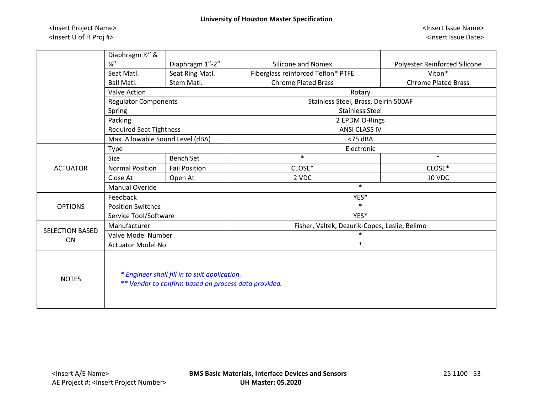|                              | Diaphragm 1/2" &                   |                                                                                                       |                                               |                               |  |  |
|------------------------------|------------------------------------|-------------------------------------------------------------------------------------------------------|-----------------------------------------------|-------------------------------|--|--|
|                              | $\frac{3}{4}$ "<br>Diaphragm 1"-2" |                                                                                                       | <b>Silicone and Nomex</b>                     | Polyester Reinforced Silicone |  |  |
|                              | Seat Matl.                         | Seat Ring Matl.                                                                                       | Fiberglass reinforced Teflon® PTFE            | Viton <sup>®</sup>            |  |  |
|                              | <b>Ball Matl.</b>                  | Stem Matl.                                                                                            | <b>Chrome Plated Brass</b>                    | <b>Chrome Plated Brass</b>    |  |  |
|                              | <b>Valve Action</b>                |                                                                                                       | Rotary                                        |                               |  |  |
|                              | <b>Regulator Components</b>        |                                                                                                       | Stainless Steel, Brass, Delrin 500AF          |                               |  |  |
|                              | Spring                             |                                                                                                       | <b>Stainless Steel</b>                        |                               |  |  |
|                              | Packing                            |                                                                                                       | 2 EPDM O-Rings                                |                               |  |  |
|                              | <b>Required Seat Tightness</b>     |                                                                                                       | ANSI CLASS IV                                 |                               |  |  |
|                              | Max. Allowable Sound Level (dBA)   |                                                                                                       | $<$ 75 dBA                                    |                               |  |  |
| <b>ACTUATOR</b>              | Type                               |                                                                                                       | Electronic                                    |                               |  |  |
|                              | Size                               | <b>Bench Set</b>                                                                                      | $\ast$                                        | $\ast$                        |  |  |
|                              | <b>Normal Position</b>             | <b>Fail Position</b>                                                                                  | CLOSE*                                        | CLOSE*                        |  |  |
|                              | Close At                           | Open At                                                                                               | 2 VDC                                         | 10 VDC                        |  |  |
|                              | Manual Overide                     |                                                                                                       | $\ast$                                        |                               |  |  |
| <b>OPTIONS</b>               | Feedback                           |                                                                                                       | YES*                                          |                               |  |  |
|                              | <b>Position Switches</b>           |                                                                                                       | $\ast$                                        |                               |  |  |
|                              | Service Tool/Software              |                                                                                                       | YES*<br>$\ast$<br>$\ast$                      |                               |  |  |
| <b>SELECTION BASED</b><br>ON | Manufacturer                       |                                                                                                       | Fisher, Valtek, Dezurik-Copes, Leslie, Belimo |                               |  |  |
|                              | Valve Model Number                 |                                                                                                       |                                               |                               |  |  |
|                              | Actuator Model No.                 |                                                                                                       |                                               |                               |  |  |
| <b>NOTES</b>                 |                                    | * Engineer shall fill in to suit application.<br>** Vendor to confirm based on process data provided. |                                               |                               |  |  |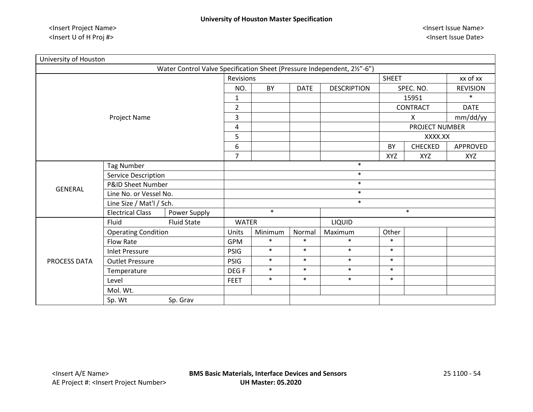$\mathsf{r}$ 

┑

| University of Houston |                            |                                                                          |                |           |             |                    |                                                                                                |            |                 |  |
|-----------------------|----------------------------|--------------------------------------------------------------------------|----------------|-----------|-------------|--------------------|------------------------------------------------------------------------------------------------|------------|-----------------|--|
|                       |                            | Water Control Valve Specification Sheet (Pressure Independent, 21/2"-6") |                |           |             |                    |                                                                                                |            |                 |  |
| Project Name          |                            |                                                                          |                | Revisions |             |                    |                                                                                                |            | xx of xx        |  |
|                       |                            |                                                                          | NO.            | <b>BY</b> | <b>DATE</b> | <b>DESCRIPTION</b> |                                                                                                |            | <b>REVISION</b> |  |
|                       |                            |                                                                          | 1              |           |             |                    | 15951                                                                                          |            | $\ast$          |  |
|                       |                            |                                                                          | $\overline{2}$ |           |             |                    | <b>CONTRACT</b>                                                                                |            | <b>DATE</b>     |  |
|                       |                            |                                                                          | 3              |           |             |                    | X                                                                                              |            | mm/dd/yy        |  |
|                       |                            |                                                                          | 4              |           |             |                    | PROJECT NUMBER                                                                                 |            |                 |  |
|                       |                            |                                                                          | 5              |           |             |                    | XXXX.XX                                                                                        |            |                 |  |
|                       |                            | 6                                                                        |                |           |             | BY                 | <b>CHECKED</b>                                                                                 | APPROVED   |                 |  |
|                       |                            |                                                                          | $\overline{7}$ |           |             |                    | <b>XYZ</b>                                                                                     | <b>XYZ</b> | XYZ             |  |
| <b>GENERAL</b>        | <b>Tag Number</b>          |                                                                          | $\ast$         |           |             |                    |                                                                                                |            |                 |  |
|                       | Service Description        |                                                                          | $\ast$         |           |             |                    |                                                                                                |            |                 |  |
|                       | P&ID Sheet Number          |                                                                          | $\ast$         |           |             |                    |                                                                                                |            |                 |  |
|                       | Line No. or Vessel No.     |                                                                          | $\ast$         |           |             |                    |                                                                                                |            |                 |  |
|                       | Line Size / Mat'l / Sch.   |                                                                          | $\ast$         |           |             |                    |                                                                                                |            |                 |  |
|                       | <b>Electrical Class</b>    | Power Supply                                                             |                | $\ast$    |             |                    | <b>SHEET</b><br>SPEC. NO.<br>$\ast$<br>Other<br>$\ast$<br>$\ast$<br>$\ast$<br>$\ast$<br>$\ast$ |            |                 |  |
|                       | Fluid                      | <b>Fluid State</b>                                                       | <b>WATER</b>   |           |             | LIQUID             |                                                                                                |            |                 |  |
| PROCESS DATA          | <b>Operating Condition</b> |                                                                          | Units          | Minimum   | Normal      | Maximum            |                                                                                                |            |                 |  |
|                       | <b>Flow Rate</b>           |                                                                          | <b>GPM</b>     | $\ast$    | $\ast$      | $\ast$             |                                                                                                |            |                 |  |
|                       | <b>Inlet Pressure</b>      |                                                                          | <b>PSIG</b>    | $\ast$    | $\ast$      | $\ast$             |                                                                                                |            |                 |  |
|                       | <b>Outlet Pressure</b>     |                                                                          | <b>PSIG</b>    | $\ast$    | $\ast$      | $\ast$             |                                                                                                |            |                 |  |
|                       | Temperature                |                                                                          | DEG F          | $\ast$    | $\ast$      | $\ast$             |                                                                                                |            |                 |  |
|                       | Level                      |                                                                          | <b>FEET</b>    | $\ast$    | $\ast$      | $\ast$             |                                                                                                |            |                 |  |
|                       | Mol. Wt.                   |                                                                          |                |           |             |                    |                                                                                                |            |                 |  |
|                       | Sp. Wt                     | Sp. Grav                                                                 |                |           |             |                    |                                                                                                |            |                 |  |